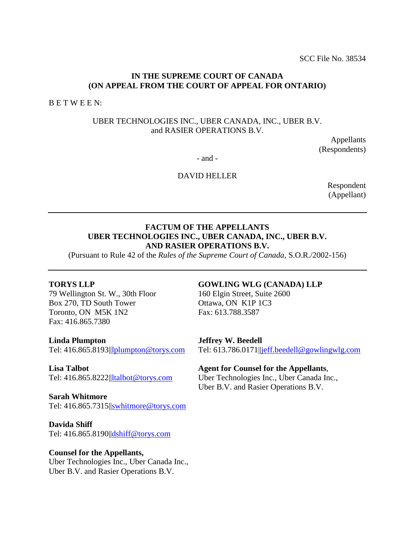## **IN THE SUPREME COURT OF CANADA (ON APPEAL FROM THE COURT OF APPEAL FOR ONTARIO)**

B E T W E E N:

## UBER TECHNOLOGIES INC., UBER CANADA, INC., UBER B.V. and RASIER OPERATIONS B.V.

Appellants (Respondents)

- and -

## DAVID HELLER

Respondent (Appellant)

## **FACTUM OF THE APPELLANTS UBER TECHNOLOGIES INC., UBER CANADA, INC., UBER B.V. AND RASIER OPERATIONS B.V.**

(Pursuant to Rule 42 of the *Rules of the Supreme Court of Canada*, S.O.R./2002-156)

### **TORYS LLP**

79 Wellington St. W., 30th Floor Box 270, TD South Tower Toronto, ON M5K 1N2 Fax: 416.865.7380

**Linda Plumpton**  Tel: 416.865.8193|[|lplumpton@torys.com](mailto:lplumpton@torys.com)

**Lisa Talbot**  Tel: 416.865.8222|[|ltalbot@torys.com](mailto:ltalbot@torys.com)

**Sarah Whitmore**  Tel: 416.865.7315|[|swhitmore@torys.com](mailto:swhitmore@torys.com)

**Davida Shiff** Tel: 416.865.8190|[|dshiff@torys.com](mailto:dshiff@torys.com)

### **Counsel for the Appellants,**

Uber Technologies Inc., Uber Canada Inc., Uber B.V. and Rasier Operations B.V.

### **GOWLING WLG (CANADA) LLP**

160 Elgin Street, Suite 2600 Ottawa, ON K1P 1C3 Fax: 613.788.3587

#### **Jeffrey W. Beedell**

Tel: 613.786.0171[||jeff.beedell@gowlingwlg.com](mailto:jeff.beedell@gowlingwlg.com)

### **Agent for Counsel for the Appellants**,

Uber Technologies Inc., Uber Canada Inc., Uber B.V. and Rasier Operations B.V.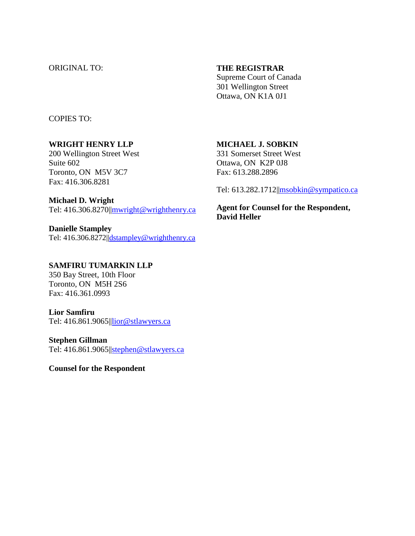## ORIGINAL TO: **THE REGISTRAR**

Supreme Court of Canada 301 Wellington Street Ottawa, ON K1A 0J1

COPIES TO:

## **WRIGHT HENRY LLP**

200 Wellington Street West Suite 602 Toronto, ON M5V 3C7 Fax: 416.306.8281

### **Michael D. Wright**

Tel: 416.306.8270||mwright@wrighthenry.ca

**Danielle Stampley**  Tel: 416.306.8272||dstampley@wrighthenry.ca

## **SAMFIRU TUMARKIN LLP**

350 Bay Street, 10th Floor Toronto, ON M5H 2S6 Fax: 416.361.0993

### **Lior Samfiru**

Tel: 416.861.9065|[|lior@stlawyers.ca](mailto:lior@stlawyers.ca)

### **Stephen Gillman**

Tel: 416.861.9065|[|stephen@stlawyers.ca](mailto:stephen@stlawyers.ca)

**Counsel for the Respondent**

## **MICHAEL J. SOBKIN**

331 Somerset Street West Ottawa, ON K2P 0J8 Fax: 613.288.2896

Tel: 613.282.1712[||msobkin@sympatico.ca](mailto:msobkin@sympatico.ca)

**Agent for Counsel for the Respondent, David Heller**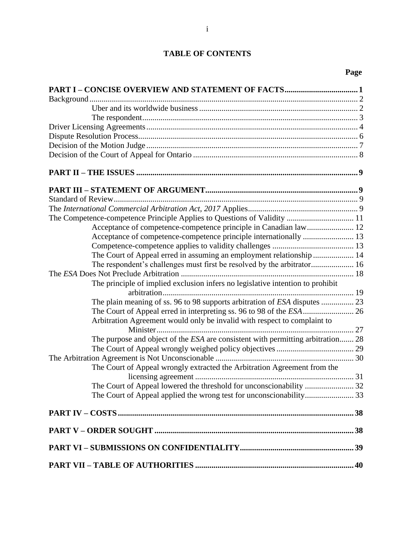## **TABLE OF CONTENTS**

# **Page**

| The Competence-competence Principle Applies to Questions of Validity  11        |  |
|---------------------------------------------------------------------------------|--|
| Acceptance of competence-competence principle in Canadian law 12                |  |
|                                                                                 |  |
|                                                                                 |  |
| The Court of Appeal erred in assuming an employment relationship  14            |  |
|                                                                                 |  |
|                                                                                 |  |
| The principle of implied exclusion infers no legislative intention to prohibit  |  |
|                                                                                 |  |
| The plain meaning of ss. 96 to 98 supports arbitration of ESA disputes  23      |  |
| The Court of Appeal erred in interpreting ss. 96 to 98 of the ESA  26           |  |
| Arbitration Agreement would only be invalid with respect to complaint to        |  |
|                                                                                 |  |
| The purpose and object of the ESA are consistent with permitting arbitration 28 |  |
|                                                                                 |  |
|                                                                                 |  |
| The Court of Appeal wrongly extracted the Arbitration Agreement from the        |  |
|                                                                                 |  |
|                                                                                 |  |
|                                                                                 |  |
|                                                                                 |  |
|                                                                                 |  |
|                                                                                 |  |
|                                                                                 |  |
|                                                                                 |  |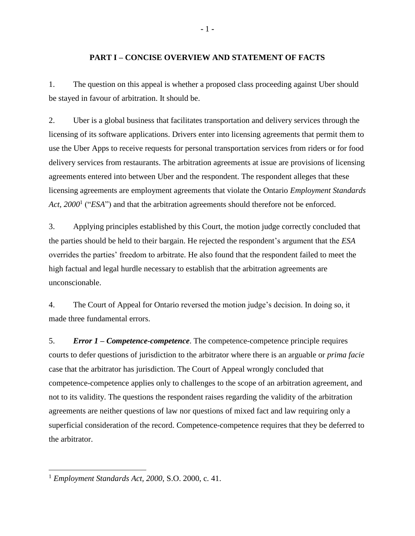### **PART I – CONCISE OVERVIEW AND STATEMENT OF FACTS**

<span id="page-3-0"></span>1. The question on this appeal is whether a proposed class proceeding against Uber should be stayed in favour of arbitration. It should be.

2. Uber is a global business that facilitates transportation and delivery services through the licensing of its software applications. Drivers enter into licensing agreements that permit them to use the Uber Apps to receive requests for personal transportation services from riders or for food delivery services from restaurants. The arbitration agreements at issue are provisions of licensing agreements entered into between Uber and the respondent. The respondent alleges that these licensing agreements are employment agreements that violate the Ontario *Employment Standards*  Act, 2000<sup>1</sup> ("ESA") and that the arbitration agreements should therefore not be enforced.

3. Applying principles established by this Court, the motion judge correctly concluded that the parties should be held to their bargain. He rejected the respondent's argument that the *ESA*  overrides the parties' freedom to arbitrate. He also found that the respondent failed to meet the high factual and legal hurdle necessary to establish that the arbitration agreements are unconscionable.

4. The Court of Appeal for Ontario reversed the motion judge's decision. In doing so, it made three fundamental errors.

5. *Error 1 – Competence-competence*. The competence-competence principle requires courts to defer questions of jurisdiction to the arbitrator where there is an arguable or *prima facie* case that the arbitrator has jurisdiction. The Court of Appeal wrongly concluded that competence-competence applies only to challenges to the scope of an arbitration agreement, and not to its validity. The questions the respondent raises regarding the validity of the arbitration agreements are neither questions of law nor questions of mixed fact and law requiring only a superficial consideration of the record. Competence-competence requires that they be deferred to the arbitrator.

<sup>1</sup> *Employment Standards Act, 2000*, S.O. 2000, c. 41.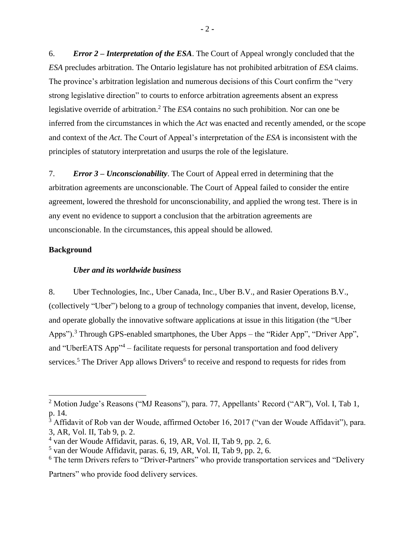6. *Error 2 – Interpretation of the ESA*. The Court of Appeal wrongly concluded that the *ESA* precludes arbitration. The Ontario legislature has not prohibited arbitration of *ESA* claims. The province's arbitration legislation and numerous decisions of this Court confirm the "very strong legislative direction" to courts to enforce arbitration agreements absent an express legislative override of arbitration. <sup>2</sup> The *ESA* contains no such prohibition. Nor can one be inferred from the circumstances in which the *Act* was enacted and recently amended, or the scope and context of the *Act*. The Court of Appeal's interpretation of the *ESA* is inconsistent with the principles of statutory interpretation and usurps the role of the legislature.

7. *Error 3 – Unconscionability*. The Court of Appeal erred in determining that the arbitration agreements are unconscionable. The Court of Appeal failed to consider the entire agreement, lowered the threshold for unconscionability, and applied the wrong test. There is in any event no evidence to support a conclusion that the arbitration agreements are unconscionable. In the circumstances, this appeal should be allowed.

### <span id="page-4-1"></span><span id="page-4-0"></span>**Background**

 $\overline{a}$ 

### *Uber and its worldwide business*

8. Uber Technologies, Inc., Uber Canada, Inc., Uber B.V., and Rasier Operations B.V., (collectively "Uber") belong to a group of technology companies that invent, develop, license, and operate globally the innovative software applications at issue in this litigation (the "Uber Apps").<sup>3</sup> Through GPS-enabled smartphones, the Uber Apps – the "Rider App", "Driver App", and "UberEATS App"<sup>4</sup> – facilitate requests for personal transportation and food delivery services.<sup>5</sup> The Driver App allows Drivers<sup>6</sup> to receive and respond to requests for rides from

Partners" who provide food delivery services.

<sup>&</sup>lt;sup>2</sup> Motion Judge's Reasons ("MJ Reasons"), para. 77, Appellants' Record ("AR"), Vol. I, Tab 1, p. 14.

 $3$  Affidavit of Rob van der Woude, affirmed October 16, 2017 ("van der Woude Affidavit"), para. 3, AR, Vol. II, Tab 9, p. 2.

<sup>4</sup> van der Woude Affidavit, paras. 6, 19, AR, Vol. II, Tab 9, pp. 2, 6.

<sup>5</sup> van der Woude Affidavit, paras. 6, 19, AR, Vol. II, Tab 9, pp. 2, 6.

<sup>&</sup>lt;sup>6</sup> The term Drivers refers to "Driver-Partners" who provide transportation services and "Delivery"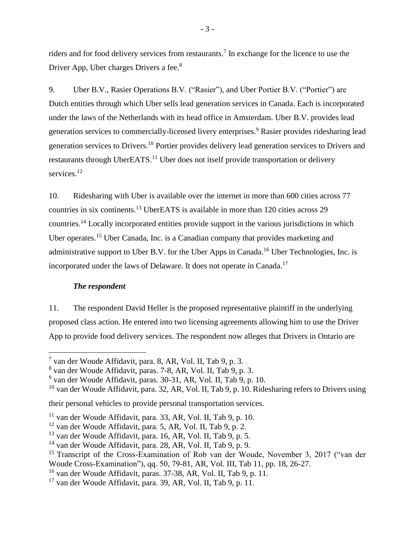riders and for food delivery services from restaurants.<sup>7</sup> In exchange for the licence to use the Driver App, Uber charges Drivers a fee.<sup>8</sup>

9. Uber B.V., Rasier Operations B.V. ("Rasier"), and Uber Portier B.V. ("Portier") are Dutch entities through which Uber sells lead generation services in Canada. Each is incorporated under the laws of the Netherlands with its head office in Amsterdam. Uber B.V. provides lead generation services to commercially-licensed livery enterprises.<sup>9</sup> Rasier provides ridesharing lead generation services to Drivers.<sup>10</sup> Portier provides delivery lead generation services to Drivers and restaurants through UberEATS.<sup>11</sup> Uber does not itself provide transportation or delivery services.<sup>12</sup>

10. Ridesharing with Uber is available over the internet in more than 600 cities across 77 countries in six continents.<sup>13</sup> UberEATS is available in more than 120 cities across 29 countries.<sup>14</sup> Locally incorporated entities provide support in the various jurisdictions in which Uber operates.<sup>15</sup> Uber Canada, Inc. is a Canadian company that provides marketing and administrative support to Uber B.V. for the Uber Apps in Canada.<sup>16</sup> Uber Technologies, Inc. is incorporated under the laws of Delaware. It does not operate in Canada.<sup>17</sup>

### *The respondent*

 $\overline{a}$ 

<span id="page-5-0"></span>11. The respondent David Heller is the proposed representative plaintiff in the underlying proposed class action. He entered into two licensing agreements allowing him to use the Driver App to provide food delivery services. The respondent now alleges that Drivers in Ontario are

<sup>10</sup> van der Woude Affidavit, para. 32, AR, Vol. II, Tab 9, p. 10. Ridesharing refers to Drivers using

their personal vehicles to provide personal transportation services.

<sup>7</sup> van der Woude Affidavit, para. 8, AR, Vol. II, Tab 9, p. 3.

<sup>8</sup> van der Woude Affidavit, paras. 7-8, AR, Vol. II, Tab 9, p. 3.

<sup>9</sup> van der Woude Affidavit, paras. 30-31, AR, Vol. II, Tab 9, p. 10.

 $11$  van der Woude Affidavit, para. 33, AR, Vol. II, Tab 9, p. 10.

<sup>12</sup> van der Woude Affidavit, para. 5, AR, Vol. II, Tab 9, p. 2.

<sup>13</sup> van der Woude Affidavit, para. 16, AR, Vol. II, Tab 9, p. 5.

<sup>14</sup> van der Woude Affidavit, para. 28, AR, Vol. II, Tab 9, p. 9.

<sup>&</sup>lt;sup>15</sup> Transcript of the Cross-Examination of Rob van der Woude, November 3, 2017 ("van der Woude Cross-Examination"), qq. 50, 79-81, AR, Vol. III, Tab 11, pp. 18, 26-27.

<sup>16</sup> van der Woude Affidavit, paras. 37-38, AR, Vol. II, Tab 9, p. 11.

 $17$  van der Woude Affidavit, para. 39, AR, Vol. II, Tab 9, p. 11.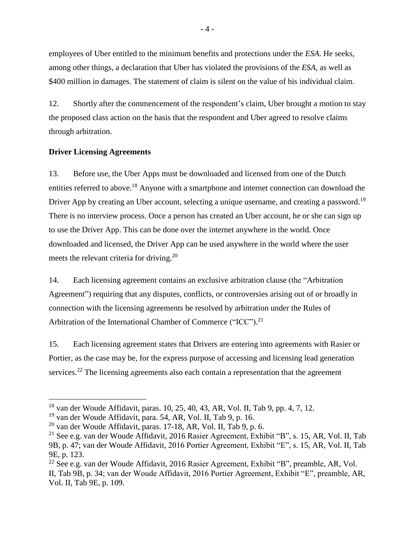employees of Uber entitled to the minimum benefits and protections under the *ESA*. He seeks, among other things, a declaration that Uber has violated the provisions of the *ESA*, as well as \$400 million in damages. The statement of claim is silent on the value of his individual claim.

12. Shortly after the commencement of the respondent's claim, Uber brought a motion to stay the proposed class action on the basis that the respondent and Uber agreed to resolve claims through arbitration.

## <span id="page-6-0"></span>**Driver Licensing Agreements**

 $\overline{a}$ 

13. Before use, the Uber Apps must be downloaded and licensed from one of the Dutch entities referred to above.<sup>18</sup> Anyone with a smartphone and internet connection can download the Driver App by creating an Uber account, selecting a unique username, and creating a password.<sup>19</sup> There is no interview process. Once a person has created an Uber account, he or she can sign up to use the Driver App. This can be done over the internet anywhere in the world. Once downloaded and licensed, the Driver App can be used anywhere in the world where the user meets the relevant criteria for driving.<sup>20</sup>

14. Each licensing agreement contains an exclusive arbitration clause (the "Arbitration Agreement") requiring that any disputes, conflicts, or controversies arising out of or broadly in connection with the licensing agreements be resolved by arbitration under the Rules of Arbitration of the International Chamber of Commerce ("ICC").<sup>21</sup>

15. Each licensing agreement states that Drivers are entering into agreements with Rasier or Portier, as the case may be, for the express purpose of accessing and licensing lead generation services.<sup>22</sup> The licensing agreements also each contain a representation that the agreement

<sup>18</sup> van der Woude Affidavit, paras. 10, 25, 40, 43, AR, Vol. II, Tab 9, pp. 4, 7, 12.

 $19$  van der Woude Affidavit, para. 54, AR, Vol. II, Tab 9, p. 16.

 $^{20}$  van der Woude Affidavit, paras. 17-18, AR, Vol. II, Tab 9, p. 6.

<sup>21</sup> See e.g. van der Woude Affidavit, 2016 Rasier Agreement, Exhibit "B", s. 15, AR, Vol. II, Tab 9B, p. 47; van der Woude Affidavit, 2016 Portier Agreement, Exhibit "E", s. 15, AR, Vol. II, Tab 9E, p. 123.

<sup>22</sup> See e.g. van der Woude Affidavit, 2016 Rasier Agreement, Exhibit "B", preamble, AR, Vol. II, Tab 9B, p. 34; van der Woude Affidavit, 2016 Portier Agreement, Exhibit "E", preamble, AR, Vol. II, Tab 9E, p. 109.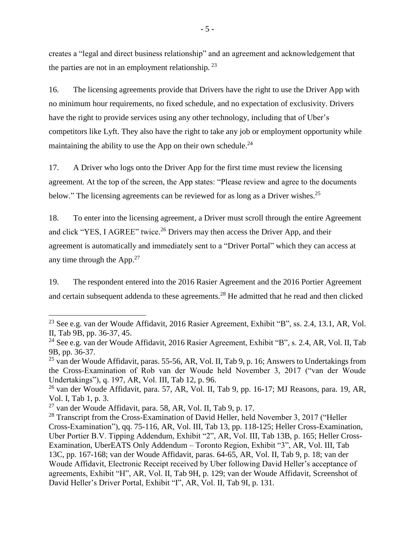creates a "legal and direct business relationship" and an agreement and acknowledgement that the parties are not in an employment relationship.  $2<sup>3</sup>$ 

16. The licensing agreements provide that Drivers have the right to use the Driver App with no minimum hour requirements, no fixed schedule, and no expectation of exclusivity. Drivers have the right to provide services using any other technology, including that of Uber's competitors like Lyft. They also have the right to take any job or employment opportunity while maintaining the ability to use the App on their own schedule.<sup>24</sup>

17. A Driver who logs onto the Driver App for the first time must review the licensing agreement. At the top of the screen, the App states: "Please review and agree to the documents below." The licensing agreements can be reviewed for as long as a Driver wishes.<sup>25</sup>

18. To enter into the licensing agreement, a Driver must scroll through the entire Agreement and click "YES, I AGREE" twice.<sup>26</sup> Drivers may then access the Driver App, and their agreement is automatically and immediately sent to a "Driver Portal" which they can access at any time through the App. $27$ 

19. The respondent entered into the 2016 Rasier Agreement and the 2016 Portier Agreement and certain subsequent addenda to these agreements.<sup>28</sup> He admitted that he read and then clicked

 $^{23}$  See e.g. van der Woude Affidavit, 2016 Rasier Agreement, Exhibit "B", ss. 2.4, 13.1, AR, Vol. II, Tab 9B, pp. 36-37, 45.

<sup>&</sup>lt;sup>24</sup> See e.g. van der Woude Affidavit, 2016 Rasier Agreement, Exhibit "B", s. 2.4, AR, Vol. II, Tab 9B, pp. 36-37.

 $^{25}$  van der Woude Affidavit, paras. 55-56, AR, Vol. II, Tab 9, p. 16; Answers to Undertakings from the Cross-Examination of Rob van der Woude held November 3, 2017 ("van der Woude Undertakings"), q. 197, AR, Vol. III, Tab 12, p. 96.

<sup>&</sup>lt;sup>26</sup> van der Woude Affidavit, para. 57, AR, Vol. II, Tab 9, pp. 16-17; MJ Reasons, para. 19, AR, Vol. I, Tab 1, p. 3.

 $27$  van der Woude Affidavit, para. 58, AR, Vol. II, Tab 9, p. 17.

 $^{28}$  Transcript from the Cross-Examination of David Heller, held November 3, 2017 ("Heller Cross-Examination"), qq. 75-116, AR, Vol. III, Tab 13, pp. 118-125; Heller Cross-Examination, Uber Portier B.V. Tipping Addendum, Exhibit "2", AR, Vol. III, Tab 13B, p. 165; Heller Cross-Examination, UberEATS Only Addendum – Toronto Region, Exhibit "3", AR, Vol. III, Tab 13C, pp. 167-168; van der Woude Affidavit, paras. 64-65, AR, Vol. II, Tab 9, p. 18; van der Woude Affidavit, Electronic Receipt received by Uber following David Heller's acceptance of agreements, Exhibit "H", AR, Vol. II, Tab 9H, p. 129; van der Woude Affidavit, Screenshot of David Heller's Driver Portal, Exhibit "I", AR, Vol. II, Tab 9I, p. 131.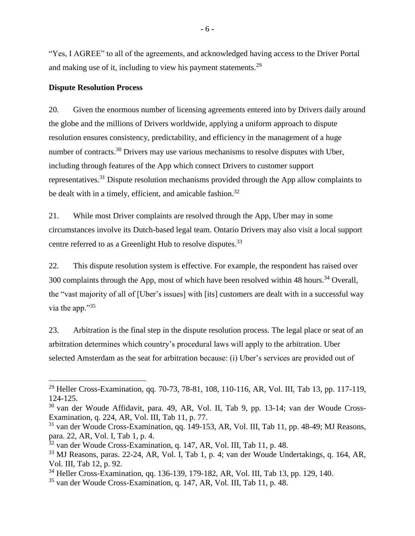"Yes, I AGREE" to all of the agreements, and acknowledged having access to the Driver Portal and making use of it, including to view his payment statements.<sup>29</sup>

### <span id="page-8-0"></span>**Dispute Resolution Process**

 $\overline{a}$ 

20. Given the enormous number of licensing agreements entered into by Drivers daily around the globe and the millions of Drivers worldwide, applying a uniform approach to dispute resolution ensures consistency, predictability, and efficiency in the management of a huge number of contracts.<sup>30</sup> Drivers may use various mechanisms to resolve disputes with Uber, including through features of the App which connect Drivers to customer support representatives.<sup>31</sup> Dispute resolution mechanisms provided through the App allow complaints to be dealt with in a timely, efficient, and amicable fashion.<sup>32</sup>

21. While most Driver complaints are resolved through the App, Uber may in some circumstances involve its Dutch-based legal team. Ontario Drivers may also visit a local support centre referred to as a Greenlight Hub to resolve disputes.<sup>33</sup>

22. This dispute resolution system is effective. For example, the respondent has raised over 300 complaints through the App, most of which have been resolved within 48 hours.<sup>34</sup> Overall, the "vast majority of all of [Uber's issues] with [its] customers are dealt with in a successful way via the app."<sup>35</sup>

23. Arbitration is the final step in the dispute resolution process. The legal place or seat of an arbitration determines which country's procedural laws will apply to the arbitration. Uber selected Amsterdam as the seat for arbitration because: (i) Uber's services are provided out of

<sup>&</sup>lt;sup>29</sup> Heller Cross-Examination, qq. 70-73, 78-81, 108, 110-116, AR, Vol. III, Tab 13, pp. 117-119, 124-125.

<sup>30</sup> van der Woude Affidavit, para. 49, AR, Vol. II, Tab 9, pp. 13-14; van der Woude Cross-Examination, q. 224, AR, Vol. III, Tab 11, p. 77.

<sup>31</sup> van der Woude Cross-Examination, qq. 149-153, AR, Vol. III, Tab 11, pp. 48-49; MJ Reasons, para. 22, AR, Vol. I, Tab 1, p. 4.

<sup>32</sup> van der Woude Cross-Examination, q. 147, AR, Vol. III, Tab 11, p. 48.

<sup>33</sup> MJ Reasons, paras. 22-24, AR, Vol. I, Tab 1, p. 4; van der Woude Undertakings, q. 164, AR, Vol. III, Tab 12, p. 92.

<sup>34</sup> Heller Cross-Examination, qq. 136-139, 179-182, AR, Vol. III, Tab 13, pp. 129, 140.

<sup>35</sup> van der Woude Cross-Examination, q. 147, AR, Vol. III, Tab 11, p. 48.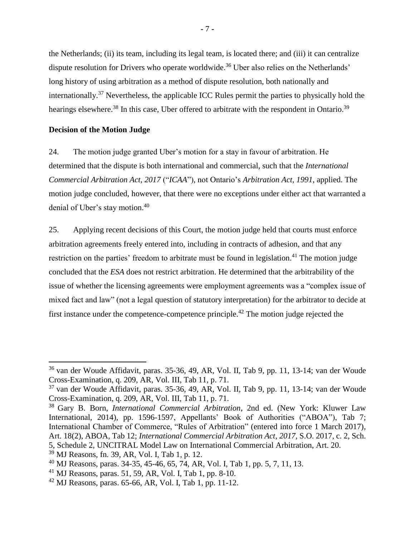the Netherlands; (ii) its team, including its legal team, is located there; and (iii) it can centralize dispute resolution for Drivers who operate worldwide.<sup>36</sup> Uber also relies on the Netherlands' long history of using arbitration as a method of dispute resolution, both nationally and internationally.<sup>37</sup> Nevertheless, the applicable ICC Rules permit the parties to physically hold the hearings elsewhere.<sup>38</sup> In this case, Uber offered to arbitrate with the respondent in Ontario.<sup>39</sup>

### <span id="page-9-0"></span>**Decision of the Motion Judge**

24. The motion judge granted Uber's motion for a stay in favour of arbitration. He determined that the dispute is both international and commercial, such that the *International Commercial Arbitration Act, 2017* ("*ICAA*"), not Ontario's *Arbitration Act, 1991*, applied. The motion judge concluded, however, that there were no exceptions under either act that warranted a denial of Uber's stay motion.<sup>40</sup>

25. Applying recent decisions of this Court, the motion judge held that courts must enforce arbitration agreements freely entered into, including in contracts of adhesion, and that any restriction on the parties' freedom to arbitrate must be found in legislation.<sup>41</sup> The motion judge concluded that the *ESA* does not restrict arbitration. He determined that the arbitrability of the issue of whether the licensing agreements were employment agreements was a "complex issue of mixed fact and law" (not a legal question of statutory interpretation) for the arbitrator to decide at first instance under the competence-competence principle.<sup>42</sup> The motion judge rejected the

<sup>&</sup>lt;sup>36</sup> van der Woude Affidavit, paras. 35-36, 49, AR, Vol. II, Tab 9, pp. 11, 13-14; van der Woude Cross-Examination, q. 209, AR, Vol. III, Tab 11, p. 71.

 $37$  van der Woude Affidavit, paras. 35-36, 49, AR, Vol. II, Tab 9, pp. 11, 13-14; van der Woude Cross-Examination, q. 209, AR, Vol. III, Tab 11, p. 71.

<sup>38</sup> Gary B. Born, *International Commercial Arbitration*, 2nd ed. (New York: Kluwer Law International, 2014), pp. 1596-1597, Appellants' Book of Authorities ("ABOA"), Tab 7; International Chamber of Commerce, "Rules of Arbitration" (entered into force 1 March 2017), Art. 18(2), ABOA, Tab 12; *International Commercial Arbitration Act*, *2017*, S.O. 2017, c. 2, Sch. 5, Schedule 2, UNCITRAL Model Law on International Commercial Arbitration, Art. 20.

<sup>39</sup> MJ Reasons, fn. 39, AR, Vol. I, Tab 1, p. 12.

<sup>40</sup> MJ Reasons, paras. 34-35, 45-46, 65, 74, AR, Vol. I, Tab 1, pp. 5, 7, 11, 13.

 $^{41}$  MJ Reasons, paras. 51, 59, AR, Vol. I, Tab 1, pp. 8-10.

 $42$  MJ Reasons, paras. 65-66, AR, Vol. I, Tab 1, pp. 11-12.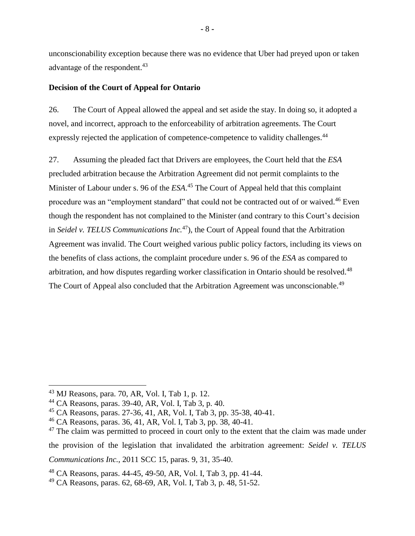unconscionability exception because there was no evidence that Uber had preyed upon or taken advantage of the respondent.<sup>43</sup>

## <span id="page-10-0"></span>**Decision of the Court of Appeal for Ontario**

26. The Court of Appeal allowed the appeal and set aside the stay. In doing so, it adopted a novel, and incorrect, approach to the enforceability of arbitration agreements. The Court expressly rejected the application of competence-competence to validity challenges.<sup>44</sup>

27. Assuming the pleaded fact that Drivers are employees, the Court held that the *ESA* precluded arbitration because the Arbitration Agreement did not permit complaints to the Minister of Labour under s. 96 of the *ESA*. <sup>45</sup> The Court of Appeal held that this complaint procedure was an "employment standard" that could not be contracted out of or waived.<sup>46</sup> Even though the respondent has not complained to the Minister (and contrary to this Court's decision in *Seidel v. TELUS Communications Inc.*<sup>47</sup>), the Court of Appeal found that the Arbitration Agreement was invalid. The Court weighed various public policy factors, including its views on the benefits of class actions, the complaint procedure under s. 96 of the *ESA* as compared to arbitration, and how disputes regarding worker classification in Ontario should be resolved.<sup>48</sup> The Court of Appeal also concluded that the Arbitration Agreement was unconscionable.<sup>49</sup>

 $\overline{a}$ 

*Communications Inc.*, 2011 SCC 15, paras. 9, 31, 35-40.

<sup>43</sup> MJ Reasons, para. 70, AR, Vol. I, Tab 1, p. 12.

<sup>44</sup> CA Reasons, paras. 39-40, AR, Vol. I, Tab 3, p. 40.

<sup>45</sup> CA Reasons, paras. 27-36, 41, AR, Vol. I, Tab 3, pp. 35-38, 40-41.

<sup>46</sup> CA Reasons, paras. 36, 41, AR, Vol. I, Tab 3, pp. 38, 40-41.

 $47$  The claim was permitted to proceed in court only to the extent that the claim was made under the provision of the legislation that invalidated the arbitration agreement: *Seidel v. TELUS* 

<sup>48</sup> CA Reasons, paras. 44-45, 49-50, AR, Vol. I, Tab 3, pp. 41-44.

<sup>49</sup> CA Reasons, paras. 62, 68-69, AR, Vol. I, Tab 3, p. 48, 51-52.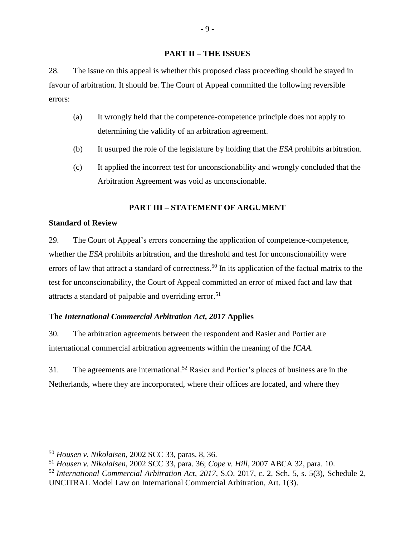### **PART II – THE ISSUES**

<span id="page-11-0"></span>28. The issue on this appeal is whether this proposed class proceeding should be stayed in favour of arbitration. It should be. The Court of Appeal committed the following reversible errors:

- (a) It wrongly held that the competence-competence principle does not apply to determining the validity of an arbitration agreement.
- (b) It usurped the role of the legislature by holding that the *ESA* prohibits arbitration.
- (c) It applied the incorrect test for unconscionability and wrongly concluded that the Arbitration Agreement was void as unconscionable.

## **PART III – STATEMENT OF ARGUMENT**

## <span id="page-11-2"></span><span id="page-11-1"></span>**Standard of Review**

 $\overline{a}$ 

29. The Court of Appeal's errors concerning the application of competence-competence, whether the *ESA* prohibits arbitration, and the threshold and test for unconscionability were errors of law that attract a standard of correctness.<sup>50</sup> In its application of the factual matrix to the test for unconscionability, the Court of Appeal committed an error of mixed fact and law that attracts a standard of palpable and overriding error.<sup>51</sup>

## <span id="page-11-3"></span>**The** *International Commercial Arbitration Act, 2017* **Applies**

30. The arbitration agreements between the respondent and Rasier and Portier are international commercial arbitration agreements within the meaning of the *ICAA*.

31. The agreements are international. <sup>52</sup> Rasier and Portier's places of business are in the Netherlands, where they are incorporated, where their offices are located, and where they

<sup>50</sup> *Housen v. Nikolaisen*, 2002 SCC 33, paras. 8, 36.

<sup>51</sup> *Housen v. Nikolaisen*, 2002 SCC 33, para. 36; *Cope v. Hill*, 2007 ABCA 32, para. 10.

<sup>52</sup> *International Commercial Arbitration Act*, *2017*, S.O. 2017, c. 2, Sch. 5, s. 5(3), Schedule 2, UNCITRAL Model Law on International Commercial Arbitration, Art. 1(3).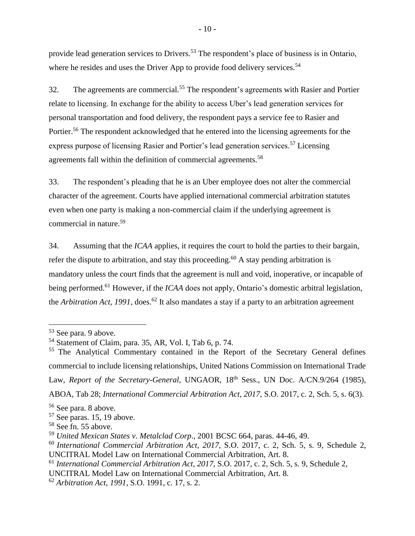provide lead generation services to Drivers.<sup>53</sup> The respondent's place of business is in Ontario, where he resides and uses the Driver App to provide food delivery services.<sup>54</sup>

32. The agreements are commercial.<sup>55</sup> The respondent's agreements with Rasier and Portier relate to licensing. In exchange for the ability to access Uber's lead generation services for personal transportation and food delivery, the respondent pays a service fee to Rasier and Portier.<sup>56</sup> The respondent acknowledged that he entered into the licensing agreements for the express purpose of licensing Rasier and Portier's lead generation services.<sup>57</sup> Licensing agreements fall within the definition of commercial agreements.<sup>58</sup>

33. The respondent's pleading that he is an Uber employee does not alter the commercial character of the agreement. Courts have applied international commercial arbitration statutes even when one party is making a non-commercial claim if the underlying agreement is commercial in nature. 59

34. Assuming that the *ICAA* applies, it requires the court to hold the parties to their bargain, refer the dispute to arbitration, and stay this proceeding.<sup>60</sup> A stay pending arbitration is mandatory unless the court finds that the agreement is null and void, inoperative, or incapable of being performed.<sup>61</sup> However, if the *ICAA* does not apply, Ontario's domestic arbitral legislation, the *Arbitration Act, 1991*, does.<sup>62</sup> It also mandates a stay if a party to an arbitration agreement

<sup>53</sup> See para. 9 above.

<sup>54</sup> Statement of Claim, para. 35, AR, Vol. I, Tab 6, p. 74.

<sup>&</sup>lt;sup>55</sup> The Analytical Commentary contained in the Report of the Secretary General defines commercial to include licensing relationships, United Nations Commission on International Trade Law, *Report of the Secretary-General*, UNGAOR, 18<sup>th</sup> Sess., UN Doc. A/CN.9/264 (1985), ABOA, Tab 28; *International Commercial Arbitration Act*, *2017*, S.O. 2017, c. 2, Sch. 5*,* s. 6(3).

<sup>56</sup> See para. 8 above.

 $57$  See paras. 15, 19 above.

<sup>58</sup> See fn. 55 above.

<sup>59</sup> *United Mexican States v. Metalclad Corp*., 2001 BCSC 664, paras. 44-46, 49.

<sup>60</sup> *International Commercial Arbitration Act*, *2017*, S.O. 2017, c. 2, Sch. 5, s. 9, Schedule 2, UNCITRAL Model Law on International Commercial Arbitration, Art. 8.

<sup>61</sup> *International Commercial Arbitration Act*, *2017*, S.O. 2017, c. 2, Sch. 5, s. 9, Schedule 2,

UNCITRAL Model Law on International Commercial Arbitration, Art. 8.

<sup>62</sup> *Arbitration Act, 1991*, S.O. 1991, c. 17, s. 2.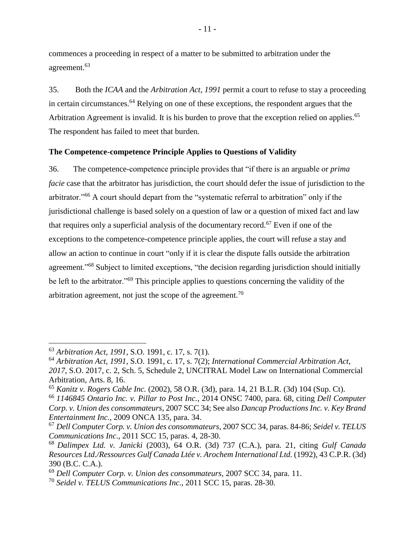commences a proceeding in respect of a matter to be submitted to arbitration under the agreement.<sup>63</sup>

35. Both the *ICAA* and the *Arbitration Act*, *1991* permit a court to refuse to stay a proceeding in certain circumstances.<sup>64</sup> Relying on one of these exceptions, the respondent argues that the Arbitration Agreement is invalid. It is his burden to prove that the exception relied on applies.<sup>65</sup> The respondent has failed to meet that burden.

### <span id="page-13-0"></span>**The Competence-competence Principle Applies to Questions of Validity**

36. The competence-competence principle provides that "if there is an arguable or *prima facie* case that the arbitrator has jurisdiction, the court should defer the issue of jurisdiction to the arbitrator."<sup>66</sup> A court should depart from the "systematic referral to arbitration" only if the jurisdictional challenge is based solely on a question of law or a question of mixed fact and law that requires only a superficial analysis of the documentary record.<sup>67</sup> Even if one of the exceptions to the competence-competence principle applies, the court will refuse a stay and allow an action to continue in court "only if it is clear the dispute falls outside the arbitration agreement."<sup>68</sup> Subject to limited exceptions, "the decision regarding jurisdiction should initially be left to the arbitrator."<sup>69</sup> This principle applies to questions concerning the validity of the arbitration agreement, not just the scope of the agreement.<sup>70</sup>

<sup>63</sup> *Arbitration Act, 1991*, S.O. 1991, c. 17, s. 7(1).

<sup>64</sup> *Arbitration Act, 1991*, S.O. 1991, c. 17, s. 7(2); *International Commercial Arbitration Act*, *2017*, S.O. 2017, c. 2, Sch. 5, Schedule 2, UNCITRAL Model Law on International Commercial Arbitration, Arts. 8, 16.

<sup>65</sup> *Kanitz v. Rogers Cable Inc.* (2002), 58 O.R. (3d), para. 14, 21 B.L.R. (3d) 104 (Sup. Ct).

<sup>66</sup> *1146845 Ontario Inc. v. Pillar to Post Inc.*, 2014 ONSC 7400, para. 68, citing *Dell Computer Corp. v. Union des consommateurs*, 2007 SCC 34; See also *Dancap Productions Inc. v. Key Brand Entertainment Inc.*, 2009 ONCA 135, para. 34.

<sup>67</sup> *Dell Computer Corp. v. Union des consommateurs*, 2007 SCC 34, paras. 84-86; *Seidel v. TELUS Communications Inc*., 2011 SCC 15, paras. 4, 28-30.

<sup>68</sup> *Dalimpex Ltd. v. Janicki* (2003), 64 O.R. (3d) 737 (C.A.), para. 21, citing *Gulf Canada Resources Ltd./Ressources Gulf Canada Ltée v. Arochem International Ltd.* (1992), 43 C.P.R. (3d) 390 (B.C. C.A.).

<sup>69</sup> *Dell Computer Corp. v. Union des consommateurs*, 2007 SCC 34, para. 11.

<sup>70</sup> *Seidel v. TELUS Communications Inc*., 2011 SCC 15, paras. 28-30.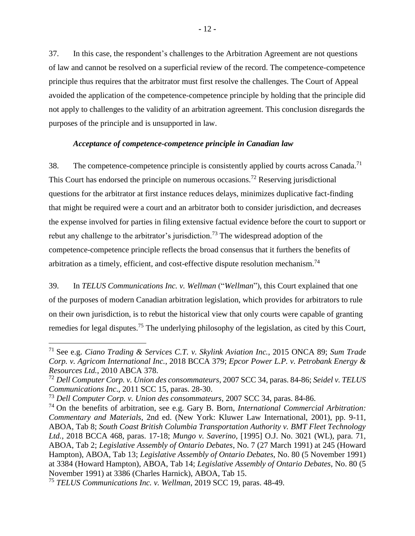37. In this case, the respondent's challenges to the Arbitration Agreement are not questions of law and cannot be resolved on a superficial review of the record. The competence-competence principle thus requires that the arbitrator must first resolve the challenges. The Court of Appeal avoided the application of the competence-competence principle by holding that the principle did not apply to challenges to the validity of an arbitration agreement. This conclusion disregards the purposes of the principle and is unsupported in law.

### *Acceptance of competence-competence principle in Canadian law*

<span id="page-14-0"></span>38. The competence-competence principle is consistently applied by courts across Canada.<sup>71</sup> This Court has endorsed the principle on numerous occasions.<sup>72</sup> Reserving jurisdictional questions for the arbitrator at first instance reduces delays, minimizes duplicative fact-finding that might be required were a court and an arbitrator both to consider jurisdiction, and decreases the expense involved for parties in filing extensive factual evidence before the court to support or rebut any challenge to the arbitrator's jurisdiction.<sup>73</sup> The widespread adoption of the competence-competence principle reflects the broad consensus that it furthers the benefits of arbitration as a timely, efficient, and cost-effective dispute resolution mechanism.<sup>74</sup>

39. In *TELUS Communications Inc. v. Wellman* ("*Wellman*"), this Court explained that one of the purposes of modern Canadian arbitration legislation, which provides for arbitrators to rule on their own jurisdiction, is to rebut the historical view that only courts were capable of granting remedies for legal disputes.<sup>75</sup> The underlying philosophy of the legislation, as cited by this Court,

<sup>71</sup> See e.g. *Ciano Trading & Services C.T. v. Skylink Aviation Inc.*, 2015 ONCA 89; *Sum Trade Corp. v. Agricom International Inc.*, 2018 BCCA 379; *Epcor Power L.P. v. Petrobank Energy & Resources Ltd.*, 2010 ABCA 378.

<sup>72</sup> *Dell Computer Corp. v. Union des consommateurs*, 2007 SCC 34, paras. 84-86; *Seidel v. TELUS Communications Inc*., 2011 SCC 15, paras. 28-30.

<sup>73</sup> *Dell Computer Corp. v. Union des consommateurs*, 2007 SCC 34, paras. 84-86.

<sup>74</sup> On the benefits of arbitration, see e.g. Gary B. Born, *International Commercial Arbitration: Commentary and Materials*, 2nd ed. (New York: Kluwer Law International, 2001), pp. 9-11, ABOA, Tab 8; *South Coast British Columbia Transportation Authority v. BMT Fleet Technology Ltd.*, 2018 BCCA 468, paras. 17-18; *Mungo v. Saverino*, [1995] O.J. No. 3021 (WL), para. 71, ABOA, Tab 2; *Legislative Assembly of Ontario Debates*, No. 7 (27 March 1991) at 245 (Howard Hampton), ABOA, Tab 13; *Legislative Assembly of Ontario Debates*, No. 80 (5 November 1991) at 3384 (Howard Hampton), ABOA, Tab 14; *Legislative Assembly of Ontario Debates*, No. 80 (5 November 1991) at 3386 (Charles Harnick), ABOA, Tab 15.

<sup>75</sup> *TELUS Communications Inc. v. Wellman*, 2019 SCC 19, paras. 48-49.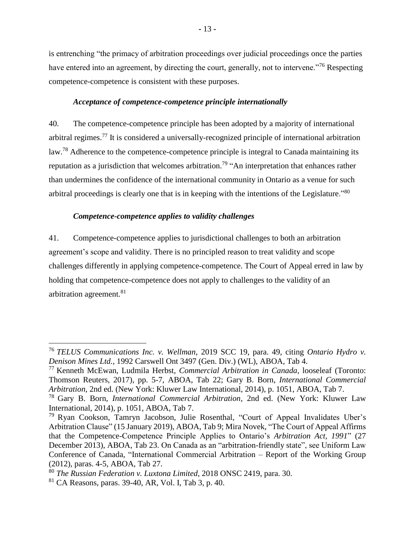is entrenching "the primacy of arbitration proceedings over judicial proceedings once the parties have entered into an agreement, by directing the court, generally, not to intervene."<sup>76</sup> Respecting competence-competence is consistent with these purposes.

### *Acceptance of competence-competence principle internationally*

<span id="page-15-0"></span>40. The competence-competence principle has been adopted by a majority of international arbitral regimes.<sup>77</sup> It is considered a universally-recognized principle of international arbitration law.<sup>78</sup> Adherence to the competence-competence principle is integral to Canada maintaining its reputation as a jurisdiction that welcomes arbitration.<sup>79</sup> "An interpretation that enhances rather than undermines the confidence of the international community in Ontario as a venue for such arbitral proceedings is clearly one that is in keeping with the intentions of the Legislature."<sup>80</sup>

### <span id="page-15-1"></span>*Competence-competence applies to validity challenges*

41. Competence-competence applies to jurisdictional challenges to both an arbitration agreement's scope and validity. There is no principled reason to treat validity and scope challenges differently in applying competence-competence. The Court of Appeal erred in law by holding that competence-competence does not apply to challenges to the validity of an arbitration agreement.<sup>81</sup>

<sup>76</sup> *TELUS Communications Inc. v. Wellman*, 2019 SCC 19, para. 49, citing *Ontario Hydro v. Denison Mines Ltd.*, 1992 Carswell Ont 3497 (Gen. Div.) (WL), ABOA, Tab 4.

<sup>77</sup> Kenneth McEwan, Ludmila Herbst, *Commercial Arbitration in Canada*, looseleaf (Toronto: Thomson Reuters, 2017), pp. 5-7, ABOA, Tab 22; Gary B. Born, *International Commercial Arbitration*, 2nd ed. (New York: Kluwer Law International, 2014), p. 1051, ABOA, Tab 7.

<sup>78</sup> Gary B. Born, *International Commercial Arbitration*, 2nd ed. (New York: Kluwer Law International, 2014), p. 1051, ABOA, Tab 7.

<sup>79</sup> Ryan Cookson, Tamryn Jacobson, Julie Rosenthal, "Court of Appeal Invalidates Uber's Arbitration Clause" (15 January 2019), ABOA, Tab 9; Mira Novek, "The Court of Appeal Affirms that the Competence-Competence Principle Applies to Ontario's *Arbitration Act, 1991*" (27 December 2013), ABOA, Tab 23. On Canada as an "arbitration-friendly state", see Uniform Law Conference of Canada, "International Commercial Arbitration – Report of the Working Group (2012), paras. 4-5, ABOA, Tab 27.

<sup>80</sup> *The Russian Federation v. Luxtona Limited*, 2018 ONSC 2419, para. 30.

<sup>81</sup> CA Reasons, paras. 39-40, AR, Vol. I, Tab 3, p. 40.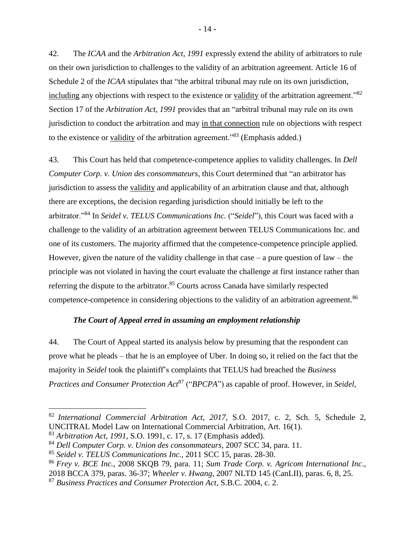42. The *ICAA* and the *Arbitration Act, 1991* expressly extend the ability of arbitrators to rule on their own jurisdiction to challenges to the validity of an arbitration agreement. Article 16 of Schedule 2 of the *ICAA* stipulates that "the arbitral tribunal may rule on its own jurisdiction, including any objections with respect to the existence or validity of the arbitration agreement."<sup>82</sup> Section 17 of the *Arbitration Act, 1991* provides that an "arbitral tribunal may rule on its own jurisdiction to conduct the arbitration and may in that connection rule on objections with respect to the existence or validity of the arbitration agreement."<sup>83</sup> (Emphasis added.)

43. This Court has held that competence-competence applies to validity challenges. In *Dell Computer Corp. v. Union des consommateurs*, this Court determined that "an arbitrator has jurisdiction to assess the validity and applicability of an arbitration clause and that, although there are exceptions, the decision regarding jurisdiction should initially be left to the arbitrator."<sup>84</sup> In *Seidel v. TELUS Communications Inc.* ("*Seidel*"), this Court was faced with a challenge to the validity of an arbitration agreement between TELUS Communications Inc. and one of its customers. The majority affirmed that the competence-competence principle applied. However, given the nature of the validity challenge in that case  $-$  a pure question of law  $-$  the principle was not violated in having the court evaluate the challenge at first instance rather than referring the dispute to the arbitrator.<sup>85</sup> Courts across Canada have similarly respected competence-competence in considering objections to the validity of an arbitration agreement.<sup>86</sup>

### *The Court of Appeal erred in assuming an employment relationship*

<span id="page-16-0"></span>44. The Court of Appeal started its analysis below by presuming that the respondent can prove what he pleads – that he is an employee of Uber. In doing so, it relied on the fact that the majority in *Seidel* took the plaintiff's complaints that TELUS had breached the *Business Practices and Consumer Protection Act*<sup>87</sup> ("*BPCPA*") as capable of proof. However, in *Seidel*,

<sup>82</sup> *International Commercial Arbitration Act*, *2017*, S.O. 2017, c. 2, Sch. 5, Schedule 2, UNCITRAL Model Law on International Commercial Arbitration, Art. 16(1).

<sup>83</sup> *Arbitration Act, 1991*, S.O. 1991, c. 17, s. 17 (Emphasis added).

<sup>84</sup> *Dell Computer Corp. v. Union des consommateurs*, 2007 SCC 34, para. 11.

<sup>85</sup> *Seidel v. TELUS Communications Inc*., 2011 SCC 15, paras. 28-30.

<sup>86</sup> *Frey v. BCE Inc.*, 2008 SKQB 79, para. 11; *Sum Trade Corp. v. Agricom International Inc*., 2018 BCCA 379, paras. 36-37; *Wheeler v. Hwang*, 2007 NLTD 145 (CanLII), paras. 6, 8, 25.

<sup>87</sup> *Business Practices and Consumer Protection Act*, S.B.C. 2004, c. 2.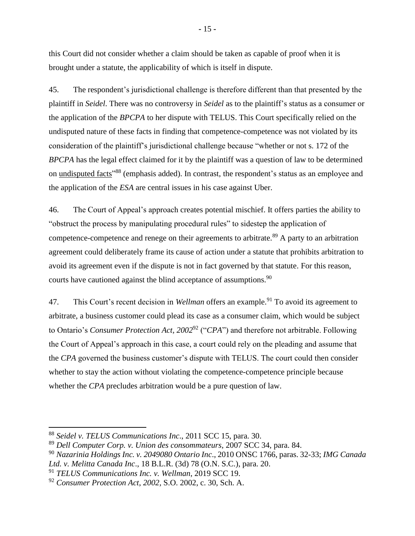this Court did not consider whether a claim should be taken as capable of proof when it is brought under a statute, the applicability of which is itself in dispute.

45. The respondent's jurisdictional challenge is therefore different than that presented by the plaintiff in *Seidel*. There was no controversy in *Seidel* as to the plaintiff's status as a consumer or the application of the *BPCPA* to her dispute with TELUS. This Court specifically relied on the undisputed nature of these facts in finding that competence-competence was not violated by its consideration of the plaintiff's jurisdictional challenge because "whether or not s. 172 of the *BPCPA* has the legal effect claimed for it by the plaintiff was a question of law to be determined on undisputed facts<sup>"88</sup> (emphasis added). In contrast, the respondent's status as an employee and the application of the *ESA* are central issues in his case against Uber.

46. The Court of Appeal's approach creates potential mischief. It offers parties the ability to "obstruct the process by manipulating procedural rules" to sidestep the application of competence-competence and renege on their agreements to arbitrate.<sup>89</sup> A party to an arbitration agreement could deliberately frame its cause of action under a statute that prohibits arbitration to avoid its agreement even if the dispute is not in fact governed by that statute. For this reason, courts have cautioned against the blind acceptance of assumptions.<sup>90</sup>

47. This Court's recent decision in *Wellman* offers an example.<sup>91</sup> To avoid its agreement to arbitrate, a business customer could plead its case as a consumer claim, which would be subject to Ontario's *Consumer Protection Act, 2002*<sup>92</sup> ("*CPA*") and therefore not arbitrable. Following the Court of Appeal's approach in this case, a court could rely on the pleading and assume that the *CPA* governed the business customer's dispute with TELUS. The court could then consider whether to stay the action without violating the competence-competence principle because whether the *CPA* precludes arbitration would be a pure question of law.

<sup>88</sup> *Seidel v. TELUS Communications Inc*., 2011 SCC 15, para. 30.

<sup>89</sup> *Dell Computer Corp. v. Union des consommateurs*, 2007 SCC 34, para. 84.

<sup>90</sup> *Nazarinia Holdings Inc. v. 2049080 Ontario Inc*., 2010 ONSC 1766, paras. 32-33; *IMG Canada Ltd. v. Melitta Canada Inc*., 18 B.L.R. (3d) 78 (O.N. S.C.), para. 20.

<sup>91</sup> *TELUS Communications Inc. v. Wellman*, 2019 SCC 19.

<sup>92</sup> *Consumer Protection Act*, *2002,* S.O. 2002, c. 30, Sch. A.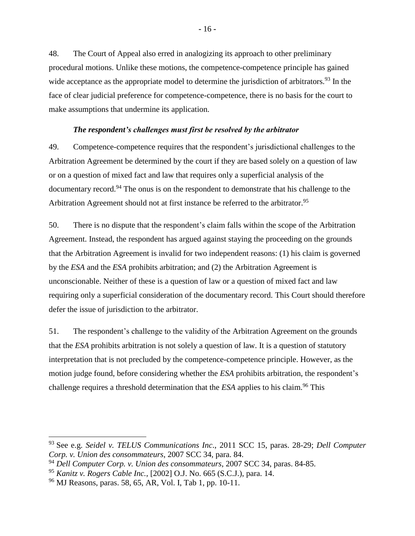48. The Court of Appeal also erred in analogizing its approach to other preliminary procedural motions. Unlike these motions, the competence-competence principle has gained wide acceptance as the appropriate model to determine the jurisdiction of arbitrators.<sup>93</sup> In the face of clear judicial preference for competence-competence, there is no basis for the court to make assumptions that undermine its application.

### *The respondent's challenges must first be resolved by the arbitrator*

<span id="page-18-0"></span>49. Competence-competence requires that the respondent's jurisdictional challenges to the Arbitration Agreement be determined by the court if they are based solely on a question of law or on a question of mixed fact and law that requires only a superficial analysis of the documentary record.<sup>94</sup> The onus is on the respondent to demonstrate that his challenge to the Arbitration Agreement should not at first instance be referred to the arbitrator.<sup>95</sup>

50. There is no dispute that the respondent's claim falls within the scope of the Arbitration Agreement. Instead, the respondent has argued against staying the proceeding on the grounds that the Arbitration Agreement is invalid for two independent reasons: (1) his claim is governed by the *ESA* and the *ESA* prohibits arbitration; and (2) the Arbitration Agreement is unconscionable. Neither of these is a question of law or a question of mixed fact and law requiring only a superficial consideration of the documentary record. This Court should therefore defer the issue of jurisdiction to the arbitrator.

51. The respondent's challenge to the validity of the Arbitration Agreement on the grounds that the *ESA* prohibits arbitration is not solely a question of law. It is a question of statutory interpretation that is not precluded by the competence-competence principle. However, as the motion judge found, before considering whether the *ESA* prohibits arbitration, the respondent's challenge requires a threshold determination that the *ESA* applies to his claim.<sup>96</sup> This

<sup>93</sup> See e.g. *Seidel v. TELUS Communications Inc*., 2011 SCC 15, paras. 28-29; *Dell Computer Corp. v. Union des consommateurs*, 2007 SCC 34, para. 84.

<sup>94</sup> *Dell Computer Corp. v. Union des consommateurs*, 2007 SCC 34, paras. 84-85.

<sup>95</sup> *Kanitz v. Rogers Cable Inc.*, [2002] O.J. No. 665 (S.C.J.), para. 14.

<sup>96</sup> MJ Reasons, paras. 58, 65, AR, Vol. I, Tab 1, pp. 10-11.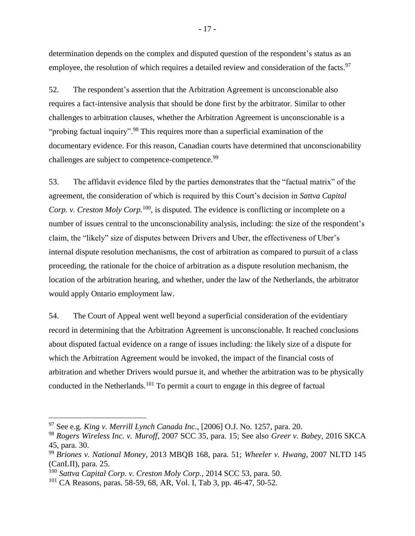determination depends on the complex and disputed question of the respondent's status as an employee, the resolution of which requires a detailed review and consideration of the facts.<sup>97</sup>

52. The respondent's assertion that the Arbitration Agreement is unconscionable also requires a fact-intensive analysis that should be done first by the arbitrator. Similar to other challenges to arbitration clauses, whether the Arbitration Agreement is unconscionable is a "probing factual inquiry".<sup>98</sup> This requires more than a superficial examination of the documentary evidence. For this reason, Canadian courts have determined that unconscionability challenges are subject to competence-competence.<sup>99</sup>

53. The affidavit evidence filed by the parties demonstrates that the "factual matrix" of the agreement, the consideration of which is required by this Court's decision in *Sattva Capital Corp. v. Creston Moly Corp.*<sup>100</sup>, is disputed. The evidence is conflicting or incomplete on a number of issues central to the unconscionability analysis, including: the size of the respondent's claim, the "likely" size of disputes between Drivers and Uber, the effectiveness of Uber's internal dispute resolution mechanisms, the cost of arbitration as compared to pursuit of a class proceeding, the rationale for the choice of arbitration as a dispute resolution mechanism, the location of the arbitration hearing, and whether, under the law of the Netherlands, the arbitrator would apply Ontario employment law.

54. The Court of Appeal went well beyond a superficial consideration of the evidentiary record in determining that the Arbitration Agreement is unconscionable. It reached conclusions about disputed factual evidence on a range of issues including: the likely size of a dispute for which the Arbitration Agreement would be invoked, the impact of the financial costs of arbitration and whether Drivers would pursue it, and whether the arbitration was to be physically conducted in the Netherlands.<sup>101</sup> To permit a court to engage in this degree of factual

<sup>97</sup> See e.g. *King v. Merrill Lynch Canada Inc.*, [2006] O.J. No. 1257, para. 20.

<sup>98</sup> *Rogers Wireless Inc. v. Muroff*, 2007 SCC 35, para. 15; See also *Greer v. Babey*, 2016 SKCA 45, para. 30.

<sup>99</sup> *Briones v. National Money*, 2013 MBQB 168, para. 51; *Wheeler v. Hwang*, 2007 NLTD 145 (CanLII), para. 25.

<sup>100</sup> *Sattva Capital Corp. v. Creston Moly Corp.*, 2014 SCC 53, para. 50.

<sup>&</sup>lt;sup>101</sup> CA Reasons, paras. 58-59, 68, AR, Vol. I, Tab 3, pp. 46-47, 50-52.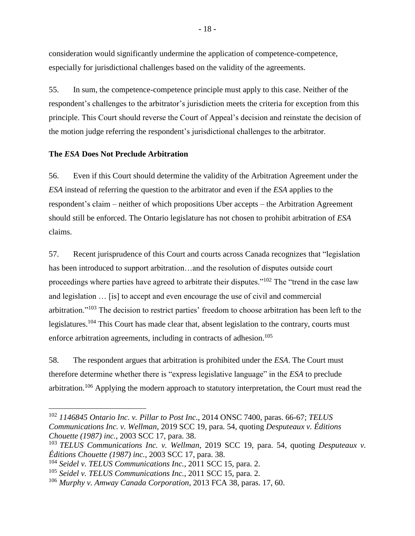consideration would significantly undermine the application of competence-competence, especially for jurisdictional challenges based on the validity of the agreements.

55. In sum, the competence-competence principle must apply to this case. Neither of the respondent's challenges to the arbitrator's jurisdiction meets the criteria for exception from this principle. This Court should reverse the Court of Appeal's decision and reinstate the decision of the motion judge referring the respondent's jurisdictional challenges to the arbitrator.

### <span id="page-20-0"></span>**The** *ESA* **Does Not Preclude Arbitration**

56. Even if this Court should determine the validity of the Arbitration Agreement under the *ESA* instead of referring the question to the arbitrator and even if the *ESA* applies to the respondent's claim – neither of which propositions Uber accepts – the Arbitration Agreement should still be enforced. The Ontario legislature has not chosen to prohibit arbitration of *ESA* claims.

57. Recent jurisprudence of this Court and courts across Canada recognizes that "legislation has been introduced to support arbitration…and the resolution of disputes outside court proceedings where parties have agreed to arbitrate their disputes."<sup>102</sup> The "trend in the case law and legislation … [is] to accept and even encourage the use of civil and commercial arbitration."<sup>103</sup> The decision to restrict parties' freedom to choose arbitration has been left to the legislatures.<sup>104</sup> This Court has made clear that, absent legislation to the contrary, courts must enforce arbitration agreements, including in contracts of adhesion.<sup>105</sup>

58. The respondent argues that arbitration is prohibited under the *ESA*. The Court must therefore determine whether there is "express legislative language" in the *ESA* to preclude arbitration.<sup>106</sup> Applying the modern approach to statutory interpretation, the Court must read the

<sup>102</sup> *1146845 Ontario Inc. v. Pillar to Post Inc*., 2014 ONSC 7400, paras. 66-67; *TELUS Communications Inc. v. Wellman*, 2019 SCC 19, para. 54, quoting *Desputeaux v. Éditions Chouette (1987) inc.*, 2003 SCC 17, para. 38.

<sup>103</sup> *TELUS Communications Inc. v. Wellman*, 2019 SCC 19, para. 54, quoting *Desputeaux v. Éditions Chouette (1987) inc.*, 2003 SCC 17, para. 38.

<sup>104</sup> *Seidel v. TELUS Communications Inc.*, 2011 SCC 15, para. 2.

<sup>105</sup> *Seidel v. TELUS Communications Inc.*, 2011 SCC 15, para. 2.

<sup>106</sup> *Murphy v. Amway Canada Corporation*, 2013 FCA 38, paras. 17, 60.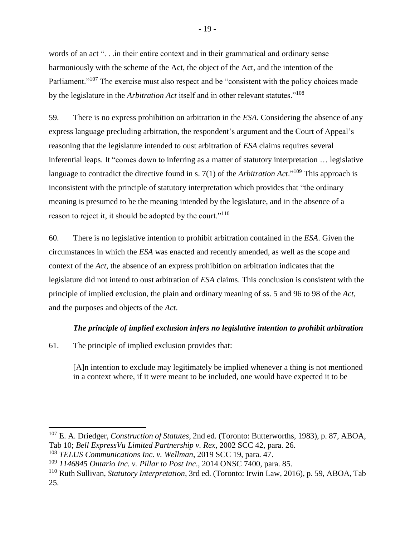words of an act "... in their entire context and in their grammatical and ordinary sense harmoniously with the scheme of the Act, the object of the Act, and the intention of the Parliament."<sup>107</sup> The exercise must also respect and be "consistent with the policy choices made by the legislature in the *Arbitration Act* itself and in other relevant statutes."<sup>108</sup>

59. There is no express prohibition on arbitration in the *ESA*. Considering the absence of any express language precluding arbitration, the respondent's argument and the Court of Appeal's reasoning that the legislature intended to oust arbitration of *ESA* claims requires several inferential leaps. It "comes down to inferring as a matter of statutory interpretation … legislative language to contradict the directive found in s. 7(1) of the *Arbitration Act*."<sup>109</sup> This approach is inconsistent with the principle of statutory interpretation which provides that "the ordinary meaning is presumed to be the meaning intended by the legislature, and in the absence of a reason to reject it, it should be adopted by the court."<sup>110</sup>

60. There is no legislative intention to prohibit arbitration contained in the *ESA*. Given the circumstances in which the *ESA* was enacted and recently amended, as well as the scope and context of the *Act*, the absence of an express prohibition on arbitration indicates that the legislature did not intend to oust arbitration of *ESA* claims. This conclusion is consistent with the principle of implied exclusion, the plain and ordinary meaning of ss. 5 and 96 to 98 of the *Act*, and the purposes and objects of the *Act*.

### *The principle of implied exclusion infers no legislative intention to prohibit arbitration*

<span id="page-21-0"></span>61. The principle of implied exclusion provides that:

 $\overline{a}$ 

[A]n intention to exclude may legitimately be implied whenever a thing is not mentioned in a context where, if it were meant to be included, one would have expected it to be

<sup>107</sup> E. A. Driedger, *Construction of Statutes*, 2nd ed. (Toronto: Butterworths, 1983), p. 87, ABOA, Tab 10; *Bell ExpressVu Limited Partnership v. Rex*, 2002 SCC 42, para. 26.

<sup>108</sup> *TELUS Communications Inc. v. Wellman*, 2019 SCC 19, para. 47.

<sup>109</sup> *1146845 Ontario Inc. v. Pillar to Post Inc*., 2014 ONSC 7400, para. 85.

<sup>110</sup> Ruth Sullivan, *Statutory Interpretation*, 3rd ed. (Toronto: Irwin Law, 2016), p. 59, ABOA, Tab 25.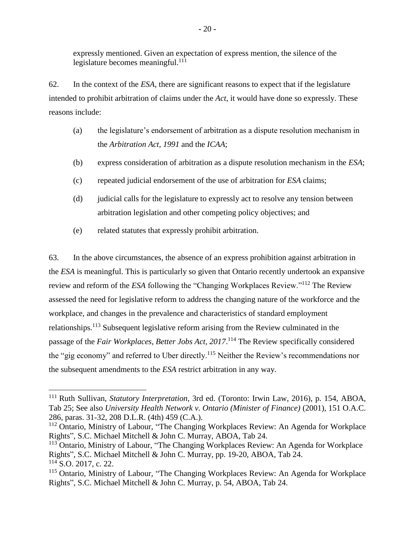expressly mentioned. Given an expectation of express mention, the silence of the legislature becomes meaningful.<sup>111</sup>

62. In the context of the *ESA*, there are significant reasons to expect that if the legislature intended to prohibit arbitration of claims under the *Act*, it would have done so expressly. These reasons include:

- (a) the legislature's endorsement of arbitration as a dispute resolution mechanism in the *Arbitration Act, 1991* and the *ICAA*;
- (b) express consideration of arbitration as a dispute resolution mechanism in the *ESA*;
- (c) repeated judicial endorsement of the use of arbitration for *ESA* claims;
- (d) judicial calls for the legislature to expressly act to resolve any tension between arbitration legislation and other competing policy objectives; and
- (e) related statutes that expressly prohibit arbitration.

 $\overline{a}$ 

63. In the above circumstances, the absence of an express prohibition against arbitration in the *ESA* is meaningful. This is particularly so given that Ontario recently undertook an expansive review and reform of the *ESA* following the "Changing Workplaces Review."<sup>112</sup> The Review assessed the need for legislative reform to address the changing nature of the workforce and the workplace, and changes in the prevalence and characteristics of standard employment relationships.<sup>113</sup> Subsequent legislative reform arising from the Review culminated in the passage of the *Fair Workplaces, Better Jobs Act, 2017*. <sup>114</sup> The Review specifically considered the "gig economy" and referred to Uber directly.<sup>115</sup> Neither the Review's recommendations nor the subsequent amendments to the *ESA* restrict arbitration in any way.

<sup>111</sup> Ruth Sullivan, *Statutory Interpretation*, 3rd ed. (Toronto: Irwin Law, 2016), p. 154, ABOA, Tab 25; See also *University Health Network v. Ontario (Minister of Finance)* (2001), 151 O.A.C. 286, paras. 31-32, 208 D.L.R. (4th) 459 (C.A.).

<sup>&</sup>lt;sup>112</sup> Ontario, Ministry of Labour, "The Changing Workplaces Review: An Agenda for Workplace Rights", S.C. Michael Mitchell & John C. Murray, ABOA, Tab 24.

<sup>&</sup>lt;sup>113</sup> Ontario, Ministry of Labour, "The Changing Workplaces Review: An Agenda for Workplace Rights", S.C. Michael Mitchell & John C. Murray, pp. 19-20, ABOA, Tab 24. <sup>114</sup> S.O. 2017, c. 22.

<sup>115</sup> Ontario, Ministry of Labour, "The Changing Workplaces Review: An Agenda for Workplace Rights", S.C. Michael Mitchell & John C. Murray, p. 54, ABOA, Tab 24.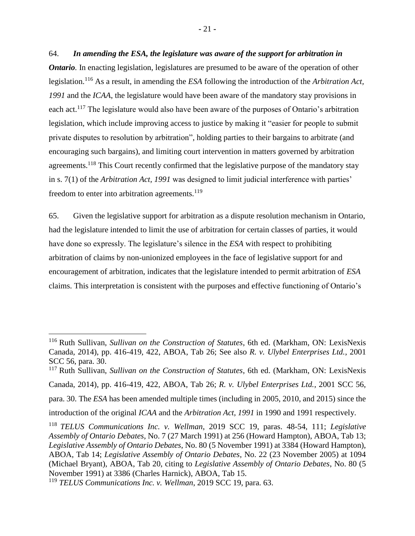64. *In amending the ESA, the legislature was aware of the support for arbitration in Ontario*. In enacting legislation, legislatures are presumed to be aware of the operation of other legislation.<sup>116</sup> As a result, in amending the *ESA* following the introduction of the *Arbitration Act, 1991* and the *ICAA*, the legislature would have been aware of the mandatory stay provisions in each act.<sup>117</sup> The legislature would also have been aware of the purposes of Ontario's arbitration legislation, which include improving access to justice by making it "easier for people to submit private disputes to resolution by arbitration", holding parties to their bargains to arbitrate (and encouraging such bargains), and limiting court intervention in matters governed by arbitration agreements.<sup>118</sup> This Court recently confirmed that the legislative purpose of the mandatory stay in s. 7(1) of the *Arbitration Act, 1991* was designed to limit judicial interference with parties' freedom to enter into arbitration agreements.<sup>119</sup>

65. Given the legislative support for arbitration as a dispute resolution mechanism in Ontario, had the legislature intended to limit the use of arbitration for certain classes of parties, it would have done so expressly. The legislature's silence in the *ESA* with respect to prohibiting arbitration of claims by non-unionized employees in the face of legislative support for and encouragement of arbitration, indicates that the legislature intended to permit arbitration of *ESA* claims. This interpretation is consistent with the purposes and effective functioning of Ontario's

introduction of the original *ICAA* and the *Arbitration Act, 1991* in 1990 and 1991 respectively.

<sup>116</sup> Ruth Sullivan, *Sullivan on the Construction of Statutes*, 6th ed. (Markham, ON: LexisNexis Canada, 2014), pp. 416-419, 422, ABOA, Tab 26; See also *R. v. Ulybel Enterprises Ltd.*, 2001 SCC 56, para. 30.

<sup>117</sup> Ruth Sullivan, *Sullivan on the Construction of Statutes*, 6th ed. (Markham, ON: LexisNexis Canada, 2014), pp. 416-419, 422, ABOA, Tab 26; *R. v. Ulybel Enterprises Ltd.*, 2001 SCC 56, para. 30. The *ESA* has been amended multiple times (including in 2005, 2010, and 2015) since the

<sup>118</sup> *TELUS Communications Inc. v. Wellman*, 2019 SCC 19, paras. 48-54, 111; *Legislative Assembly of Ontario Debates*, No. 7 (27 March 1991) at 256 (Howard Hampton), ABOA, Tab 13; *Legislative Assembly of Ontario Debates*, No. 80 (5 November 1991) at 3384 (Howard Hampton), ABOA, Tab 14; *Legislative Assembly of Ontario Debates*, No. 22 (23 November 2005) at 1094 (Michael Bryant), ABOA, Tab 20, citing to *Legislative Assembly of Ontario Debates*, No. 80 (5 November 1991) at 3386 (Charles Harnick), ABOA, Tab 15.

<sup>119</sup> *TELUS Communications Inc. v. Wellman*, 2019 SCC 19, para. 63.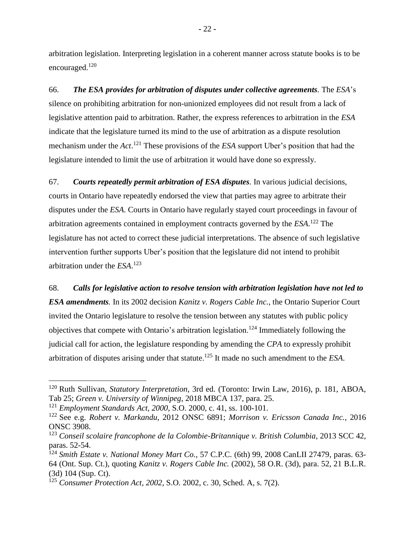arbitration legislation. Interpreting legislation in a coherent manner across statute books is to be encouraged.<sup>120</sup>

66. *The ESA provides for arbitration of disputes under collective agreements.* The *ESA*'s silence on prohibiting arbitration for non-unionized employees did not result from a lack of legislative attention paid to arbitration. Rather, the express references to arbitration in the *ESA* indicate that the legislature turned its mind to the use of arbitration as a dispute resolution mechanism under the *Act*. <sup>121</sup> These provisions of the *ESA* support Uber's position that had the legislature intended to limit the use of arbitration it would have done so expressly.

67. *Courts repeatedly permit arbitration of ESA disputes.* In various judicial decisions, courts in Ontario have repeatedly endorsed the view that parties may agree to arbitrate their disputes under the *ESA*. Courts in Ontario have regularly stayed court proceedings in favour of arbitration agreements contained in employment contracts governed by the *ESA*. <sup>122</sup> The legislature has not acted to correct these judicial interpretations. The absence of such legislative intervention further supports Uber's position that the legislature did not intend to prohibit arbitration under the *ESA*. 123

68. *Calls for legislative action to resolve tension with arbitration legislation have not led to ESA amendments.* In its 2002 decision *Kanitz v. Rogers Cable Inc.*, the Ontario Superior Court invited the Ontario legislature to resolve the tension between any statutes with public policy objectives that compete with Ontario's arbitration legislation.<sup>124</sup> Immediately following the judicial call for action, the legislature responding by amending the *CPA* to expressly prohibit arbitration of disputes arising under that statute. <sup>125</sup> It made no such amendment to the *ESA*.

<sup>120</sup> Ruth Sullivan, *Statutory Interpretation*, 3rd ed. (Toronto: Irwin Law, 2016), p. 181, ABOA, Tab 25; *Green v. University of Winnipeg*, 2018 MBCA 137, para. 25.

<sup>121</sup> *Employment Standards Act, 2000*, S.O. 2000, c. 41, ss. 100-101.

<sup>122</sup> See e.g. *Robert v. Markandu*, 2012 ONSC 6891; *Morrison v. Ericsson Canada Inc.*, 2016 ONSC 3908.

<sup>123</sup> *Conseil scolaire francophone de la Colombie-Britannique v. British Columbia*, 2013 SCC 42, paras. 52-54.

<sup>124</sup> *Smith Estate v. National Money Mart Co.*, 57 C.P.C. (6th) 99, 2008 CanLII 27479, paras. 63- 64 (Ont. Sup. Ct.), quoting *Kanitz v. Rogers Cable Inc.* (2002), 58 O.R. (3d), para. 52, 21 B.L.R. (3d) 104 (Sup. Ct).

<sup>125</sup> *Consumer Protection Act, 2002*, S.O. 2002, c. 30, Sched. A, s. 7(2).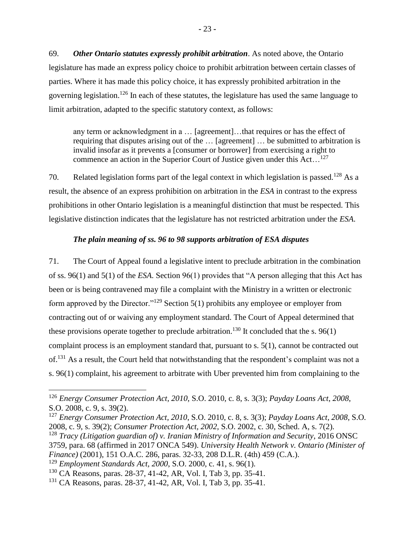69. *Other Ontario statutes expressly prohibit arbitration*. As noted above, the Ontario legislature has made an express policy choice to prohibit arbitration between certain classes of parties. Where it has made this policy choice, it has expressly prohibited arbitration in the governing legislation.<sup>126</sup> In each of these statutes, the legislature has used the same language to limit arbitration, adapted to the specific statutory context, as follows:

any term or acknowledgment in a … [agreement]…that requires or has the effect of requiring that disputes arising out of the … [agreement] … be submitted to arbitration is invalid insofar as it prevents a [consumer or borrower] from exercising a right to commence an action in the Superior Court of Justice given under this Act...<sup>127</sup>

70. Related legislation forms part of the legal context in which legislation is passed.<sup>128</sup> As a result, the absence of an express prohibition on arbitration in the *ESA* in contrast to the express prohibitions in other Ontario legislation is a meaningful distinction that must be respected. This legislative distinction indicates that the legislature has not restricted arbitration under the *ESA*.

## *The plain meaning of ss. 96 to 98 supports arbitration of ESA disputes*

<span id="page-25-0"></span>71. The Court of Appeal found a legislative intent to preclude arbitration in the combination of ss. 96(1) and 5(1) of the *ESA*. Section 96(1) provides that "A person alleging that this Act has been or is being contravened may file a complaint with the Ministry in a written or electronic form approved by the Director."<sup>129</sup> Section 5(1) prohibits any employee or employer from contracting out of or waiving any employment standard. The Court of Appeal determined that these provisions operate together to preclude arbitration.<sup>130</sup> It concluded that the s. 96(1) complaint process is an employment standard that, pursuant to s. 5(1), cannot be contracted out of.<sup>131</sup> As a result, the Court held that notwithstanding that the respondent's complaint was not a s. 96(1) complaint, his agreement to arbitrate with Uber prevented him from complaining to the

<sup>126</sup> *Energy Consumer Protection Act, 2010*, S.O. 2010, c. 8, s. 3(3); *Payday Loans Act*, *2008*, S.O. 2008, c. 9, s. 39(2).

<sup>127</sup> *Energy Consumer Protection Act, 2010*, S.O. 2010, c. 8, s. 3(3); *Payday Loans Act, 2008*, S.O. 2008, c. 9, s. 39(2); *Consumer Protection Act, 2002*, S.O. 2002, c. 30, Sched. A, s. 7(2).

<sup>128</sup> *Tracy (Litigation guardian of) v. Iranian Ministry of Information and Security*, 2016 ONSC 3759, para. 68 (affirmed in 2017 ONCA 549). *University Health Network v. Ontario (Minister of Finance)* (2001), 151 O.A.C. 286, paras. 32-33, 208 D.L.R. (4th) 459 (C.A.).

<sup>129</sup> *Employment Standards Act, 2000*, S.O. 2000, c. 41, s. 96(1).

<sup>130</sup> CA Reasons, paras. 28-37, 41-42, AR, Vol. I, Tab 3, pp. 35-41.

<sup>131</sup> CA Reasons, paras. 28-37, 41-42, AR, Vol. I, Tab 3, pp. 35-41.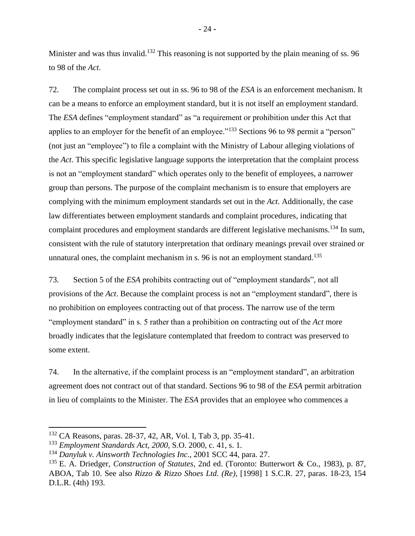Minister and was thus invalid.<sup>132</sup> This reasoning is not supported by the plain meaning of ss. 96 to 98 of the *Act*.

72. The complaint process set out in ss. 96 to 98 of the *ESA* is an enforcement mechanism. It can be a means to enforce an employment standard, but it is not itself an employment standard. The *ESA* defines "employment standard" as "a requirement or prohibition under this Act that applies to an employer for the benefit of an employee."<sup>133</sup> Sections 96 to 98 permit a "person" (not just an "employee") to file a complaint with the Ministry of Labour alleging violations of the *Act*. This specific legislative language supports the interpretation that the complaint process is not an "employment standard" which operates only to the benefit of employees, a narrower group than persons. The purpose of the complaint mechanism is to ensure that employers are complying with the minimum employment standards set out in the *Act*. Additionally, the case law differentiates between employment standards and complaint procedures, indicating that complaint procedures and employment standards are different legislative mechanisms.<sup>134</sup> In sum, consistent with the rule of statutory interpretation that ordinary meanings prevail over strained or unnatural ones, the complaint mechanism in s. 96 is not an employment standard.<sup>135</sup>

73. Section 5 of the *ESA* prohibits contracting out of "employment standards", not all provisions of the *Act*. Because the complaint process is not an "employment standard", there is no prohibition on employees contracting out of that process. The narrow use of the term "employment standard" in s. 5 rather than a prohibition on contracting out of the *Act* more broadly indicates that the legislature contemplated that freedom to contract was preserved to some extent.

74. In the alternative, if the complaint process is an "employment standard", an arbitration agreement does not contract out of that standard. Sections 96 to 98 of the *ESA* permit arbitration in lieu of complaints to the Minister. The *ESA* provides that an employee who commences a

<sup>132</sup> CA Reasons, paras. 28-37, 42, AR, Vol. I, Tab 3, pp. 35-41.

<sup>133</sup> *Employment Standards Act, 2000*, S.O. 2000, c. 41, s. 1.

<sup>134</sup> *Danyluk v. Ainsworth Technologies Inc*., 2001 SCC 44, para. 27.

<sup>135</sup> E. A. Driedger, *Construction of Statutes*, 2nd ed. (Toronto: Butterwort & Co., 1983), p. 87, ABOA, Tab 10. See also *Rizzo & Rizzo Shoes Ltd. (Re)*, [1998] 1 S.C.R. 27, paras. 18-23, 154 D.L.R. (4th) 193.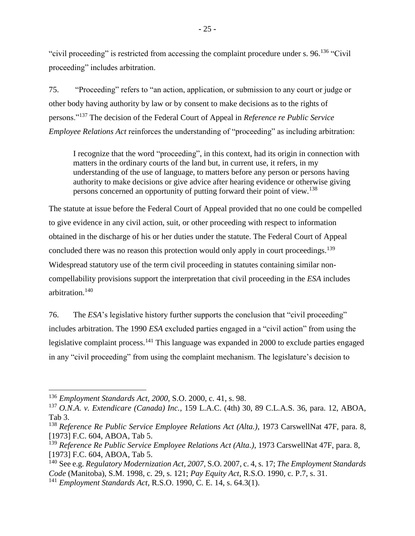"civil proceeding" is restricted from accessing the complaint procedure under s. 96.<sup>136</sup> "Civil" proceeding" includes arbitration.

75. "Proceeding" refers to "an action, application, or submission to any court or judge or other body having authority by law or by consent to make decisions as to the rights of persons."<sup>137</sup> The decision of the Federal Court of Appeal in *Reference re Public Service Employee Relations Act* reinforces the understanding of "proceeding" as including arbitration:

I recognize that the word "proceeding", in this context, had its origin in connection with matters in the ordinary courts of the land but, in current use, it refers, in my understanding of the use of language, to matters before any person or persons having authority to make decisions or give advice after hearing evidence or otherwise giving persons concerned an opportunity of putting forward their point of view.<sup>138</sup>

The statute at issue before the Federal Court of Appeal provided that no one could be compelled to give evidence in any civil action, suit, or other proceeding with respect to information obtained in the discharge of his or her duties under the statute. The Federal Court of Appeal concluded there was no reason this protection would only apply in court proceedings.<sup>139</sup> Widespread statutory use of the term civil proceeding in statutes containing similar noncompellability provisions support the interpretation that civil proceeding in the *ESA* includes arbitration.<sup>140</sup>

76. The *ESA*'s legislative history further supports the conclusion that "civil proceeding" includes arbitration. The 1990 *ESA* excluded parties engaged in a "civil action" from using the legislative complaint process.<sup>141</sup> This language was expanded in 2000 to exclude parties engaged in any "civil proceeding" from using the complaint mechanism. The legislature's decision to

<sup>136</sup> *Employment Standards Act, 2000*, S.O. 2000, c. 41, s. 98.

<sup>137</sup> *O.N.A. v. Extendicare (Canada) Inc.*, 159 L.A.C. (4th) 30, 89 C.L.A.S. 36, para. 12, ABOA, Tab 3.

<sup>138</sup> *Reference Re Public Service Employee Relations Act (Alta.)*, 1973 CarswellNat 47F, para. 8, [1973] F.C. 604, ABOA, Tab 5.

<sup>139</sup> *Reference Re Public Service Employee Relations Act (Alta.)*, 1973 CarswellNat 47F, para. 8, [1973] F.C. 604, ABOA, Tab 5.

<sup>140</sup> See e.g. *Regulatory Modernization Act, 2007*, S.O. 2007, c. 4, s. 17; *The Employment Standards Code* (Manitoba), S.M. 1998, c. 29, s. 121; *Pay Equity Act*, R.S.O. 1990, c. P.7, s. 31.

<sup>141</sup> *Employment Standards Act*, R.S.O. 1990, C. E. 14, s. 64.3(1).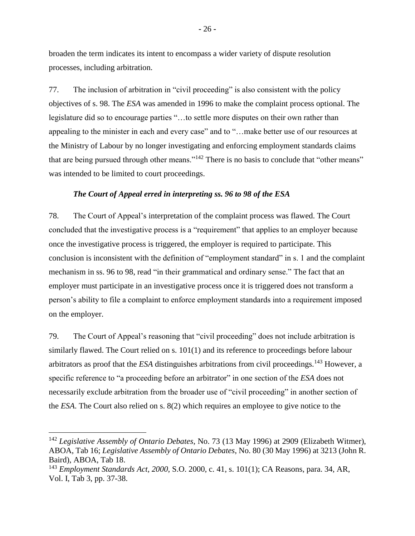broaden the term indicates its intent to encompass a wider variety of dispute resolution processes, including arbitration.

77. The inclusion of arbitration in "civil proceeding" is also consistent with the policy objectives of s. 98. The *ESA* was amended in 1996 to make the complaint process optional. The legislature did so to encourage parties "…to settle more disputes on their own rather than appealing to the minister in each and every case" and to "…make better use of our resources at the Ministry of Labour by no longer investigating and enforcing employment standards claims that are being pursued through other means."<sup>142</sup> There is no basis to conclude that "other means" was intended to be limited to court proceedings.

### *The Court of Appeal erred in interpreting ss. 96 to 98 of the ESA*

<span id="page-28-0"></span>78. The Court of Appeal's interpretation of the complaint process was flawed. The Court concluded that the investigative process is a "requirement" that applies to an employer because once the investigative process is triggered, the employer is required to participate. This conclusion is inconsistent with the definition of "employment standard" in s. 1 and the complaint mechanism in ss. 96 to 98, read "in their grammatical and ordinary sense." The fact that an employer must participate in an investigative process once it is triggered does not transform a person's ability to file a complaint to enforce employment standards into a requirement imposed on the employer.

79. The Court of Appeal's reasoning that "civil proceeding" does not include arbitration is similarly flawed. The Court relied on s. 101(1) and its reference to proceedings before labour arbitrators as proof that the *ESA* distinguishes arbitrations from civil proceedings.<sup>143</sup> However, a specific reference to "a proceeding before an arbitrator" in one section of the *ESA* does not necessarily exclude arbitration from the broader use of "civil proceeding" in another section of the *ESA*. The Court also relied on s. 8(2) which requires an employee to give notice to the

<sup>142</sup> *Legislative Assembly of Ontario Debates*, No. 73 (13 May 1996) at 2909 (Elizabeth Witmer), ABOA, Tab 16; *Legislative Assembly of Ontario Debates*, No. 80 (30 May 1996) at 3213 (John R. Baird), ABOA, Tab 18.

<sup>143</sup> *Employment Standards Act, 2000*, S.O. 2000, c. 41, s. 101(1); CA Reasons, para. 34, AR, Vol. I, Tab 3, pp. 37-38.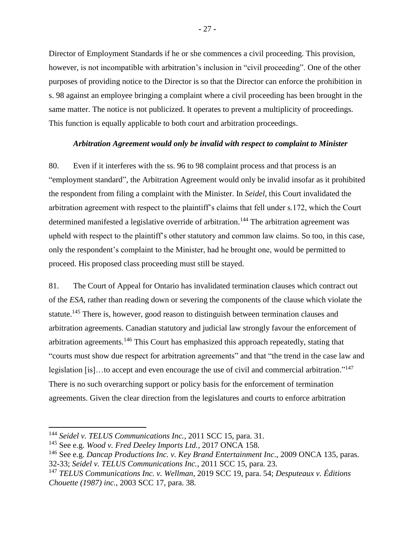Director of Employment Standards if he or she commences a civil proceeding. This provision, however, is not incompatible with arbitration's inclusion in "civil proceeding". One of the other purposes of providing notice to the Director is so that the Director can enforce the prohibition in s. 98 against an employee bringing a complaint where a civil proceeding has been brought in the same matter. The notice is not publicized. It operates to prevent a multiplicity of proceedings. This function is equally applicable to both court and arbitration proceedings.

### *Arbitration Agreement would only be invalid with respect to complaint to Minister*

<span id="page-29-0"></span>80. Even if it interferes with the ss. 96 to 98 complaint process and that process is an "employment standard", the Arbitration Agreement would only be invalid insofar as it prohibited the respondent from filing a complaint with the Minister. In *Seidel*, this Court invalidated the arbitration agreement with respect to the plaintiff's claims that fell under s.172, which the Court determined manifested a legislative override of arbitration.<sup>144</sup> The arbitration agreement was upheld with respect to the plaintiff's other statutory and common law claims. So too, in this case, only the respondent's complaint to the Minister, had he brought one, would be permitted to proceed. His proposed class proceeding must still be stayed.

81. The Court of Appeal for Ontario has invalidated termination clauses which contract out of the *ESA*, rather than reading down or severing the components of the clause which violate the statute.<sup>145</sup> There is, however, good reason to distinguish between termination clauses and arbitration agreements. Canadian statutory and judicial law strongly favour the enforcement of arbitration agreements.<sup>146</sup> This Court has emphasized this approach repeatedly, stating that "courts must show due respect for arbitration agreements" and that "the trend in the case law and legislation [is]...to accept and even encourage the use of civil and commercial arbitration."<sup>147</sup> There is no such overarching support or policy basis for the enforcement of termination agreements. Given the clear direction from the legislatures and courts to enforce arbitration

<sup>144</sup> *Seidel v. TELUS Communications Inc.*, 2011 SCC 15, para. 31.

<sup>145</sup> See e.g. *Wood v. Fred Deeley Imports Ltd.*, 2017 ONCA 158.

<sup>146</sup> See e.g. *Dancap Productions Inc. v. Key Brand Entertainment Inc*., 2009 ONCA 135, paras. 32-33; *Seidel v. TELUS Communications Inc.*, 2011 SCC 15, para. 23.

<sup>147</sup> *TELUS Communications Inc. v. Wellman*, 2019 SCC 19, para. 54; *Desputeaux v. Éditions Chouette (1987) inc.*, 2003 SCC 17, para. 38.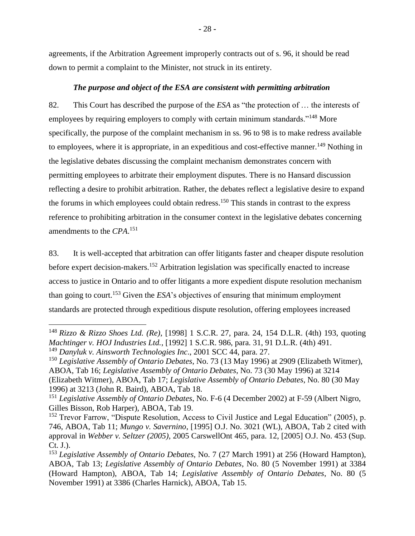agreements, if the Arbitration Agreement improperly contracts out of s. 96, it should be read down to permit a complaint to the Minister, not struck in its entirety.

### *The purpose and object of the ESA are consistent with permitting arbitration*

<span id="page-30-0"></span>82. This Court has described the purpose of the *ESA* as "the protection of … the interests of employees by requiring employers to comply with certain minimum standards."<sup>148</sup> More specifically, the purpose of the complaint mechanism in ss. 96 to 98 is to make redress available to employees, where it is appropriate, in an expeditious and cost-effective manner.<sup>149</sup> Nothing in the legislative debates discussing the complaint mechanism demonstrates concern with permitting employees to arbitrate their employment disputes. There is no Hansard discussion reflecting a desire to prohibit arbitration. Rather, the debates reflect a legislative desire to expand the forums in which employees could obtain redress.<sup>150</sup> This stands in contrast to the express reference to prohibiting arbitration in the consumer context in the legislative debates concerning amendments to the *CPA*. 151

83. It is well-accepted that arbitration can offer litigants faster and cheaper dispute resolution before expert decision-makers.<sup>152</sup> Arbitration legislation was specifically enacted to increase access to justice in Ontario and to offer litigants a more expedient dispute resolution mechanism than going to court.<sup>153</sup> Given the *ESA*'s objectives of ensuring that minimum employment standards are protected through expeditious dispute resolution, offering employees increased

<sup>148</sup> *Rizzo & Rizzo Shoes Ltd. (Re)*, [1998] 1 S.C.R. 27, para. 24, 154 D.L.R. (4th) 193, quoting *Machtinger v. HOJ Industries Ltd.*, [1992] 1 S.C.R. 986, para. 31, 91 D.L.R. (4th) 491. <sup>149</sup> *Danyluk v. Ainsworth Technologies Inc*., 2001 SCC 44, para. 27.

<sup>150</sup> *Legislative Assembly of Ontario Debates*, No. 73 (13 May 1996) at 2909 (Elizabeth Witmer), ABOA, Tab 16; *Legislative Assembly of Ontario Debates*, No. 73 (30 May 1996) at 3214 (Elizabeth Witmer), ABOA, Tab 17; *Legislative Assembly of Ontario Debates*, No. 80 (30 May 1996) at 3213 (John R. Baird), ABOA, Tab 18.

<sup>151</sup> *Legislative Assembly of Ontario Debates*, No. F-6 (4 December 2002) at F-59 (Albert Nigro, Gilles Bisson, Rob Harper), ABOA, Tab 19.

 $152$  Trevor Farrow, "Dispute Resolution, Access to Civil Justice and Legal Education" (2005), p. 746, ABOA, Tab 11; *Mungo v. Savernino*, [1995] O.J. No. 3021 (WL), ABOA, Tab 2 cited with approval in *Webber v. Seltzer (2005)*, 2005 CarswellOnt 465, para. 12, [2005] O.J. No. 453 (Sup. Ct. J.).

<sup>153</sup> *Legislative Assembly of Ontario Debates*, No. 7 (27 March 1991) at 256 (Howard Hampton), ABOA, Tab 13; *Legislative Assembly of Ontario Debates*, No. 80 (5 November 1991) at 3384 (Howard Hampton), ABOA, Tab 14; *Legislative Assembly of Ontario Debates*, No. 80 (5 November 1991) at 3386 (Charles Harnick), ABOA, Tab 15.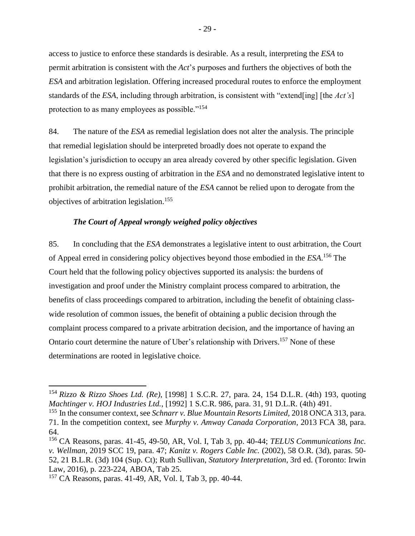access to justice to enforce these standards is desirable. As a result, interpreting the *ESA* to permit arbitration is consistent with the *Act*'s purposes and furthers the objectives of both the *ESA* and arbitration legislation. Offering increased procedural routes to enforce the employment standards of the *ESA*, including through arbitration, is consistent with "extend[ing] [the *Act's*] protection to as many employees as possible."<sup>154</sup>

84. The nature of the *ESA* as remedial legislation does not alter the analysis. The principle that remedial legislation should be interpreted broadly does not operate to expand the legislation's jurisdiction to occupy an area already covered by other specific legislation. Given that there is no express ousting of arbitration in the *ESA* and no demonstrated legislative intent to prohibit arbitration, the remedial nature of the *ESA* cannot be relied upon to derogate from the objectives of arbitration legislation.<sup>155</sup>

### *The Court of Appeal wrongly weighed policy objectives*

<span id="page-31-0"></span>85. In concluding that the *ESA* demonstrates a legislative intent to oust arbitration, the Court of Appeal erred in considering policy objectives beyond those embodied in the *ESA*. <sup>156</sup> The Court held that the following policy objectives supported its analysis: the burdens of investigation and proof under the Ministry complaint process compared to arbitration, the benefits of class proceedings compared to arbitration, including the benefit of obtaining classwide resolution of common issues, the benefit of obtaining a public decision through the complaint process compared to a private arbitration decision, and the importance of having an Ontario court determine the nature of Uber's relationship with Drivers.<sup>157</sup> None of these determinations are rooted in legislative choice.

<sup>154</sup> *Rizzo & Rizzo Shoes Ltd. (Re)*, [1998] 1 S.C.R. 27, para. 24, 154 D.L.R. (4th) 193, quoting *Machtinger v. HOJ Industries Ltd.*, [1992] 1 S.C.R. 986, para. 31, 91 D.L.R. (4th) 491.

<sup>155</sup> In the consumer context, see *Schnarr v. Blue Mountain Resorts Limited,* 2018 ONCA 313, para. 71. In the competition context, see *Murphy v. Amway Canada Corporation*, 2013 FCA 38, para. 64.

<sup>156</sup> CA Reasons, paras. 41-45, 49-50, AR, Vol. I, Tab 3, pp. 40-44; *TELUS Communications Inc. v. Wellman*, 2019 SCC 19, para. 47; *Kanitz v. Rogers Cable Inc.* (2002), 58 O.R. (3d), paras. 50- 52, 21 B.L.R. (3d) 104 (Sup. Ct); Ruth Sullivan, *Statutory Interpretation*, 3rd ed. (Toronto: Irwin Law, 2016), p. 223-224, ABOA, Tab 25.

<sup>157</sup> CA Reasons, paras. 41-49, AR, Vol. I, Tab 3, pp. 40-44.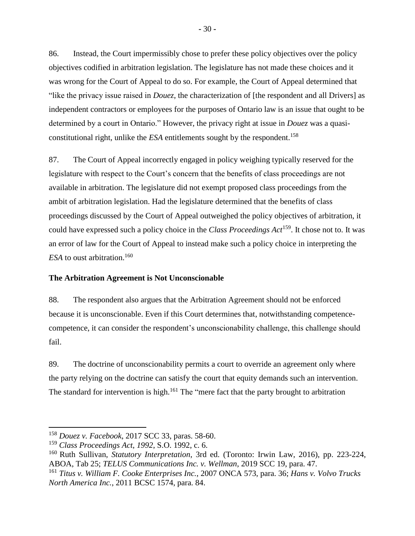86. Instead, the Court impermissibly chose to prefer these policy objectives over the policy objectives codified in arbitration legislation. The legislature has not made these choices and it was wrong for the Court of Appeal to do so. For example, the Court of Appeal determined that "like the privacy issue raised in *Douez*, the characterization of [the respondent and all Drivers] as independent contractors or employees for the purposes of Ontario law is an issue that ought to be determined by a court in Ontario." However, the privacy right at issue in *Douez* was a quasiconstitutional right, unlike the *ESA* entitlements sought by the respondent. 158

87. The Court of Appeal incorrectly engaged in policy weighing typically reserved for the legislature with respect to the Court's concern that the benefits of class proceedings are not available in arbitration. The legislature did not exempt proposed class proceedings from the ambit of arbitration legislation. Had the legislature determined that the benefits of class proceedings discussed by the Court of Appeal outweighed the policy objectives of arbitration, it could have expressed such a policy choice in the *Class Proceedings Act*<sup>159</sup>. It chose not to. It was an error of law for the Court of Appeal to instead make such a policy choice in interpreting the *ESA* to oust arbitration.<sup>160</sup>

### <span id="page-32-0"></span>**The Arbitration Agreement is Not Unconscionable**

88. The respondent also argues that the Arbitration Agreement should not be enforced because it is unconscionable. Even if this Court determines that, notwithstanding competencecompetence, it can consider the respondent's unconscionability challenge, this challenge should fail.

89. The doctrine of unconscionability permits a court to override an agreement only where the party relying on the doctrine can satisfy the court that equity demands such an intervention. The standard for intervention is high.<sup>161</sup> The "mere fact that the party brought to arbitration

<sup>158</sup> *Douez v. Facebook*, 2017 SCC 33, paras. 58-60.

<sup>159</sup> *Class Proceedings Act*, *1992*, S.O. 1992, c. 6.

<sup>160</sup> Ruth Sullivan, *Statutory Interpretation*, 3rd ed. (Toronto: Irwin Law, 2016), pp. 223-224, ABOA, Tab 25; *TELUS Communications Inc. v. Wellman*, 2019 SCC 19, para. 47.

<sup>161</sup> *Titus v. William F. Cooke Enterprises Inc.*, 2007 ONCA 573, para. 36; *Hans v. Volvo Trucks North America Inc.*, 2011 BCSC 1574, para. 84.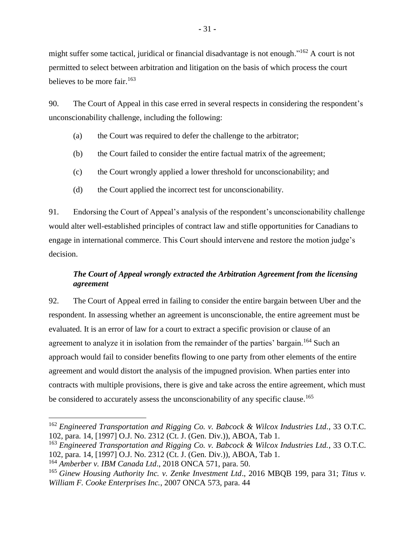might suffer some tactical, juridical or financial disadvantage is not enough."<sup>162</sup> A court is not permitted to select between arbitration and litigation on the basis of which process the court believes to be more fair.<sup>163</sup>

90. The Court of Appeal in this case erred in several respects in considering the respondent's unconscionability challenge, including the following:

- (a) the Court was required to defer the challenge to the arbitrator;
- (b) the Court failed to consider the entire factual matrix of the agreement;
- (c) the Court wrongly applied a lower threshold for unconscionability; and
- (d) the Court applied the incorrect test for unconscionability.

91. Endorsing the Court of Appeal's analysis of the respondent's unconscionability challenge would alter well-established principles of contract law and stifle opportunities for Canadians to engage in international commerce. This Court should intervene and restore the motion judge's decision.

## <span id="page-33-0"></span>*The Court of Appeal wrongly extracted the Arbitration Agreement from the licensing agreement*

92. The Court of Appeal erred in failing to consider the entire bargain between Uber and the respondent. In assessing whether an agreement is unconscionable, the entire agreement must be evaluated. It is an error of law for a court to extract a specific provision or clause of an agreement to analyze it in isolation from the remainder of the parties' bargain.<sup>164</sup> Such an approach would fail to consider benefits flowing to one party from other elements of the entire agreement and would distort the analysis of the impugned provision. When parties enter into contracts with multiple provisions, there is give and take across the entire agreement, which must be considered to accurately assess the unconscionability of any specific clause.<sup>165</sup>

<sup>162</sup> *Engineered Transportation and Rigging Co. v. Babcock & Wilcox Industries Ltd.*, 33 O.T.C. 102*,* para. 14, [1997] O.J. No. 2312 (Ct. J. (Gen. Div.)), ABOA, Tab 1.

<sup>163</sup> *Engineered Transportation and Rigging Co. v. Babcock & Wilcox Industries Ltd.*, 33 O.T.C. 102*,* para. 14, [1997] O.J. No. 2312 (Ct. J. (Gen. Div.)), ABOA, Tab 1.

<sup>164</sup> *Amberber v. IBM Canada Ltd*., 2018 ONCA 571, para. 50.

<sup>165</sup> *Ginew Housing Authority Inc. v. Zenke Investment Ltd*., 2016 MBQB 199, para 31; *Titus v. William F. Cooke Enterprises Inc.*, 2007 ONCA 573, para. 44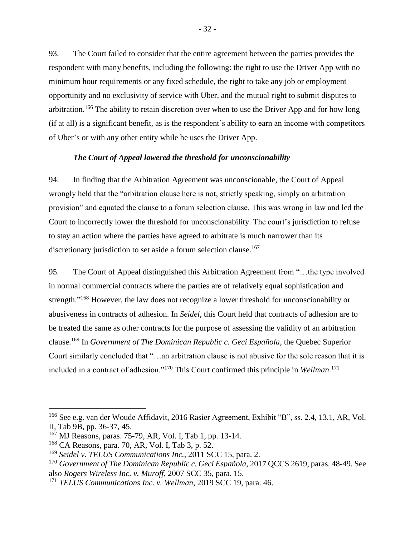93. The Court failed to consider that the entire agreement between the parties provides the respondent with many benefits, including the following: the right to use the Driver App with no minimum hour requirements or any fixed schedule, the right to take any job or employment opportunity and no exclusivity of service with Uber, and the mutual right to submit disputes to arbitration.<sup>166</sup> The ability to retain discretion over when to use the Driver App and for how long (if at all) is a significant benefit, as is the respondent's ability to earn an income with competitors of Uber's or with any other entity while he uses the Driver App.

#### *The Court of Appeal lowered the threshold for unconscionability*

<span id="page-34-0"></span>94. In finding that the Arbitration Agreement was unconscionable, the Court of Appeal wrongly held that the "arbitration clause here is not, strictly speaking, simply an arbitration provision" and equated the clause to a forum selection clause. This was wrong in law and led the Court to incorrectly lower the threshold for unconscionability. The court's jurisdiction to refuse to stay an action where the parties have agreed to arbitrate is much narrower than its discretionary jurisdiction to set aside a forum selection clause.<sup>167</sup>

95. The Court of Appeal distinguished this Arbitration Agreement from "…the type involved in normal commercial contracts where the parties are of relatively equal sophistication and strength."<sup>168</sup> However, the law does not recognize a lower threshold for unconscionability or abusiveness in contracts of adhesion. In *Seidel*, this Court held that contracts of adhesion are to be treated the same as other contracts for the purpose of assessing the validity of an arbitration clause.<sup>169</sup> In *Government of The Dominican Republic c. Geci Española*, the Quebec Superior Court similarly concluded that "…an arbitration clause is not abusive for the sole reason that it is included in a contract of adhesion."<sup>170</sup> This Court confirmed this principle in *Wellman*. 171

<sup>166</sup> See e.g. van der Woude Affidavit, 2016 Rasier Agreement, Exhibit "B", ss. 2.4, 13.1, AR, Vol. II, Tab 9B, pp. 36-37, 45.

<sup>167</sup> MJ Reasons, paras. 75-79, AR, Vol. I, Tab 1, pp. 13-14.

<sup>168</sup> CA Reasons, para. 70, AR, Vol. I, Tab 3, p. 52.

<sup>169</sup> *Seidel v. TELUS Communications Inc.*, 2011 SCC 15, para. 2.

<sup>170</sup> *Government of The Dominican Republic c. Geci Española*, 2017 QCCS 2619, paras. 48-49. See also *Rogers Wireless Inc. v. Muroff*, 2007 SCC 35, para. 15.

<sup>171</sup> *TELUS Communications Inc. v. Wellman*, 2019 SCC 19, para. 46.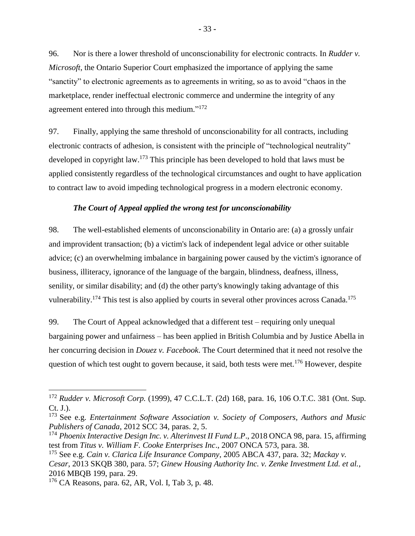96. Nor is there a lower threshold of unconscionability for electronic contracts. In *Rudder v. Microsoft*, the Ontario Superior Court emphasized the importance of applying the same "sanctity" to electronic agreements as to agreements in writing, so as to avoid "chaos in the marketplace, render ineffectual electronic commerce and undermine the integrity of any agreement entered into through this medium."<sup>172</sup>

97. Finally, applying the same threshold of unconscionability for all contracts, including electronic contracts of adhesion, is consistent with the principle of "technological neutrality" developed in copyright law.<sup>173</sup> This principle has been developed to hold that laws must be applied consistently regardless of the technological circumstances and ought to have application to contract law to avoid impeding technological progress in a modern electronic economy.

### *The Court of Appeal applied the wrong test for unconscionability*

<span id="page-35-0"></span>98. The well-established elements of unconscionability in Ontario are: (a) a grossly unfair and improvident transaction; (b) a victim's lack of independent legal advice or other suitable advice; (c) an overwhelming imbalance in bargaining power caused by the victim's ignorance of business, illiteracy, ignorance of the language of the bargain, blindness, deafness, illness, senility, or similar disability; and (d) the other party's knowingly taking advantage of this vulnerability.<sup>174</sup> This test is also applied by courts in several other provinces across Canada.<sup>175</sup>

99. The Court of Appeal acknowledged that a different test – requiring only unequal bargaining power and unfairness – has been applied in British Columbia and by Justice Abella in her concurring decision in *Douez v. Facebook*. The Court determined that it need not resolve the question of which test ought to govern because, it said, both tests were met.<sup>176</sup> However, despite

<sup>172</sup> *Rudder v. Microsoft Corp.* (1999), 47 C.C.L.T. (2d) 168, para. 16, 106 O.T.C. 381 (Ont. Sup. Ct. J.).

<sup>173</sup> See e.g. *Entertainment Software Association v. Society of Composers, Authors and Music Publishers of Canada*, 2012 SCC 34, paras. 2, 5.

<sup>174</sup> *Phoenix Interactive Design Inc. v. Alterinvest II Fund L.P*., 2018 ONCA 98, para. 15, affirming test from *Titus v. William F. Cooke Enterprises Inc*., 2007 ONCA 573, para. 38.

<sup>175</sup> See e.g. *Cain v. Clarica Life Insurance Company*, 2005 ABCA 437, para. 32; *Mackay v. Cesar*, 2013 SKQB 380, para. 57; *Ginew Housing Authority Inc. v. Zenke Investment Ltd. et al.*, 2016 MBQB 199, para. 29.

<sup>176</sup> CA Reasons, para. 62, AR, Vol. I, Tab 3, p. 48.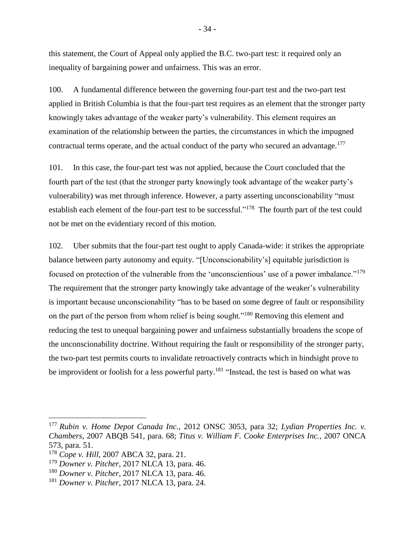this statement, the Court of Appeal only applied the B.C. two-part test: it required only an inequality of bargaining power and unfairness. This was an error.

100. A fundamental difference between the governing four-part test and the two-part test applied in British Columbia is that the four-part test requires as an element that the stronger party knowingly takes advantage of the weaker party's vulnerability. This element requires an examination of the relationship between the parties, the circumstances in which the impugned contractual terms operate, and the actual conduct of the party who secured an advantage.<sup>177</sup>

101. In this case, the four-part test was not applied, because the Court concluded that the fourth part of the test (that the stronger party knowingly took advantage of the weaker party's vulnerability) was met through inference. However, a party asserting unconscionability "must establish each element of the four-part test to be successful."<sup>178</sup> The fourth part of the test could not be met on the evidentiary record of this motion.

102. Uber submits that the four-part test ought to apply Canada-wide: it strikes the appropriate balance between party autonomy and equity. "[Unconscionability's] equitable jurisdiction is focused on protection of the vulnerable from the 'unconscientious' use of a power imbalance."<sup>179</sup> The requirement that the stronger party knowingly take advantage of the weaker's vulnerability is important because unconscionability "has to be based on some degree of fault or responsibility on the part of the person from whom relief is being sought."<sup>180</sup> Removing this element and reducing the test to unequal bargaining power and unfairness substantially broadens the scope of the unconscionability doctrine. Without requiring the fault or responsibility of the stronger party, the two-part test permits courts to invalidate retroactively contracts which in hindsight prove to be improvident or foolish for a less powerful party.<sup>181</sup> "Instead, the test is based on what was

<sup>177</sup> *Rubin v. Home Depot Canada Inc.*, 2012 ONSC 3053, para 32; *Lydian Properties Inc. v. Chambers*, 2007 ABQB 541, para. 68; *Titus v. William F. Cooke Enterprises Inc.*, 2007 ONCA 573, para. 51.

<sup>178</sup> *Cope v. Hill*, 2007 ABCA 32, para. 21.

<sup>179</sup> *Downer v. Pitcher*, 2017 NLCA 13, para. 46.

<sup>180</sup> *Downer v. Pitcher*, 2017 NLCA 13, para. 46.

<sup>181</sup> *Downer v. Pitcher*, 2017 NLCA 13, para. 24.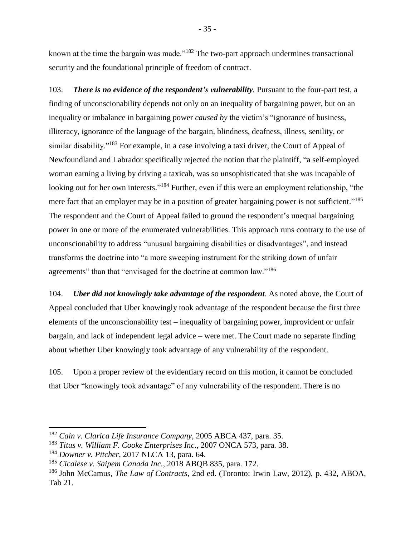known at the time the bargain was made."<sup>182</sup> The two-part approach undermines transactional security and the foundational principle of freedom of contract.

103. *There is no evidence of the respondent's vulnerability.* Pursuant to the four-part test, a finding of unconscionability depends not only on an inequality of bargaining power, but on an inequality or imbalance in bargaining power *caused by* the victim's "ignorance of business, illiteracy, ignorance of the language of the bargain, blindness, deafness, illness, senility, or similar disability."<sup>183</sup> For example, in a case involving a taxi driver, the Court of Appeal of Newfoundland and Labrador specifically rejected the notion that the plaintiff, "a self-employed woman earning a living by driving a taxicab, was so unsophisticated that she was incapable of looking out for her own interests."<sup>184</sup> Further, even if this were an employment relationship, "the mere fact that an employer may be in a position of greater bargaining power is not sufficient."<sup>185</sup> The respondent and the Court of Appeal failed to ground the respondent's unequal bargaining power in one or more of the enumerated vulnerabilities. This approach runs contrary to the use of unconscionability to address "unusual bargaining disabilities or disadvantages", and instead transforms the doctrine into "a more sweeping instrument for the striking down of unfair agreements" than that "envisaged for the doctrine at common law."<sup>186</sup>

104. *Uber did not knowingly take advantage of the respondent*. As noted above, the Court of Appeal concluded that Uber knowingly took advantage of the respondent because the first three elements of the unconscionability test – inequality of bargaining power, improvident or unfair bargain, and lack of independent legal advice – were met. The Court made no separate finding about whether Uber knowingly took advantage of any vulnerability of the respondent.

105. Upon a proper review of the evidentiary record on this motion, it cannot be concluded that Uber "knowingly took advantage" of any vulnerability of the respondent. There is no

<sup>182</sup> *Cain v. Clarica Life Insurance Company*, 2005 ABCA 437, para. 35.

<sup>183</sup> *Titus v. William F. Cooke Enterprises Inc*., 2007 ONCA 573, para. 38.

<sup>184</sup> *Downer v. Pitcher*, 2017 NLCA 13, para. 64.

<sup>185</sup> *Cicalese v. Saipem Canada Inc.*, 2018 ABQB 835, para. 172.

<sup>186</sup> John McCamus, *The Law of Contracts,* 2nd ed. (Toronto: Irwin Law, 2012), p. 432, ABOA, Tab 21.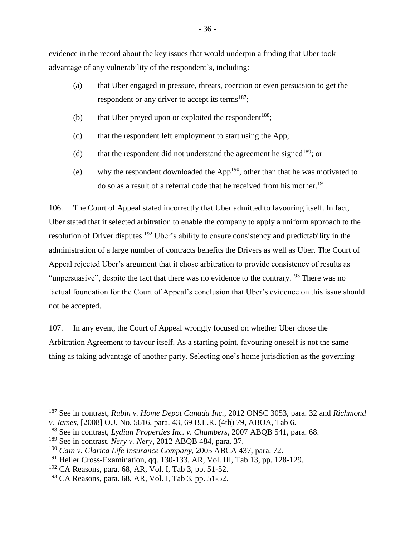evidence in the record about the key issues that would underpin a finding that Uber took advantage of any vulnerability of the respondent's, including:

- (a) that Uber engaged in pressure, threats, coercion or even persuasion to get the respondent or any driver to accept its terms<sup>187</sup>;
- (b) that Uber preyed upon or exploited the respondent<sup>188</sup>;
- (c) that the respondent left employment to start using the App;
- (d) that the respondent did not understand the agreement he signed<sup>189</sup>; or
- (e) why the respondent downloaded the  $App<sup>190</sup>$ , other than that he was motivated to do so as a result of a referral code that he received from his mother.<sup>191</sup>

106. The Court of Appeal stated incorrectly that Uber admitted to favouring itself. In fact, Uber stated that it selected arbitration to enable the company to apply a uniform approach to the resolution of Driver disputes.<sup>192</sup> Uber's ability to ensure consistency and predictability in the administration of a large number of contracts benefits the Drivers as well as Uber. The Court of Appeal rejected Uber's argument that it chose arbitration to provide consistency of results as "unpersuasive", despite the fact that there was no evidence to the contrary.<sup>193</sup> There was no factual foundation for the Court of Appeal's conclusion that Uber's evidence on this issue should not be accepted.

107. In any event, the Court of Appeal wrongly focused on whether Uber chose the Arbitration Agreement to favour itself. As a starting point, favouring oneself is not the same thing as taking advantage of another party. Selecting one's home jurisdiction as the governing

<sup>187</sup> See in contrast, *Rubin v. Home Depot Canada Inc.*, 2012 ONSC 3053, para. 32 and *Richmond v. James*, [2008] O.J. No. 5616, para. 43, 69 B.L.R. (4th) 79, ABOA, Tab 6.

<sup>188</sup> See in contrast, *Lydian Properties Inc. v. Chambers*, 2007 ABQB 541, para. 68.

<sup>189</sup> See in contrast, *Nery v. Nery*, 2012 ABQB 484, para. 37.

<sup>190</sup> *Cain v. Clarica Life Insurance Company*, 2005 ABCA 437, para. 72.

 $191$  Heller Cross-Examination, qq. 130-133, AR, Vol. III, Tab 13, pp. 128-129.

 $192$  CA Reasons, para. 68, AR, Vol. I, Tab 3, pp. 51-52.

<sup>193</sup> CA Reasons, para. 68, AR, Vol. I, Tab 3, pp. 51-52.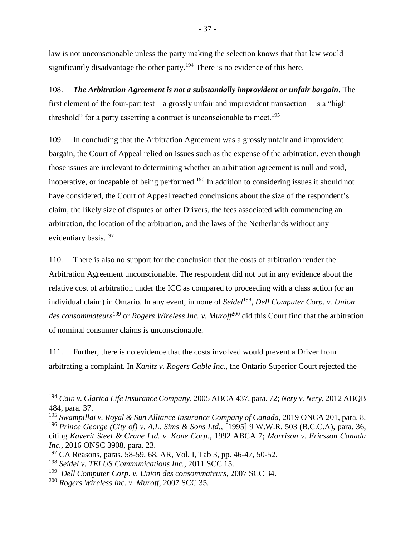law is not unconscionable unless the party making the selection knows that that law would significantly disadvantage the other party.<sup>194</sup> There is no evidence of this here.

108. *The Arbitration Agreement is not a substantially improvident or unfair bargain.* The first element of the four-part test – a grossly unfair and improvident transaction – is a "high threshold" for a party asserting a contract is unconscionable to meet.<sup>195</sup>

109. In concluding that the Arbitration Agreement was a grossly unfair and improvident bargain, the Court of Appeal relied on issues such as the expense of the arbitration, even though those issues are irrelevant to determining whether an arbitration agreement is null and void, inoperative, or incapable of being performed.<sup>196</sup> In addition to considering issues it should not have considered, the Court of Appeal reached conclusions about the size of the respondent's claim, the likely size of disputes of other Drivers, the fees associated with commencing an arbitration, the location of the arbitration, and the laws of the Netherlands without any evidentiary basis.<sup>197</sup>

110. There is also no support for the conclusion that the costs of arbitration render the Arbitration Agreement unconscionable. The respondent did not put in any evidence about the relative cost of arbitration under the ICC as compared to proceeding with a class action (or an individual claim) in Ontario. In any event, in none of *Seidel*<sup>198</sup> , *Dell Computer Corp. v. Union des consommateurs*<sup>199</sup> or *Rogers Wireless Inc. v. Muroff*<sup>200</sup> did this Court find that the arbitration of nominal consumer claims is unconscionable.

111. Further, there is no evidence that the costs involved would prevent a Driver from arbitrating a complaint. In *Kanitz v. Rogers Cable Inc.*, the Ontario Superior Court rejected the

<sup>194</sup> *Cain v. Clarica Life Insurance Company*, 2005 ABCA 437, para. 72; *Nery v. Nery*, 2012 ABQB 484, para. 37.

<sup>195</sup> *Swampillai v. Royal & Sun Alliance Insurance Company of Canada*, 2019 ONCA 201, para. 8. <sup>196</sup> *Prince George (City of) v. A.L. Sims & Sons Ltd.*, [1995] 9 W.W.R. 503 (B.C.C.A), para. 36, citing *Kaverit Steel & Crane Ltd. v. Kone Corp.*, 1992 ABCA 7; *Morrison v. Ericsson Canada Inc.*, 2016 ONSC 3908, para. 23.

<sup>197</sup> CA Reasons, paras. 58-59, 68, AR, Vol. I, Tab 3, pp. 46-47, 50-52.

<sup>198</sup> *Seidel v. TELUS Communications Inc.*, 2011 SCC 15.

<sup>199</sup> *Dell Computer Corp. v. Union des consommateurs*, 2007 SCC 34.

<sup>200</sup> *Rogers Wireless Inc. v. Muroff*, 2007 SCC 35.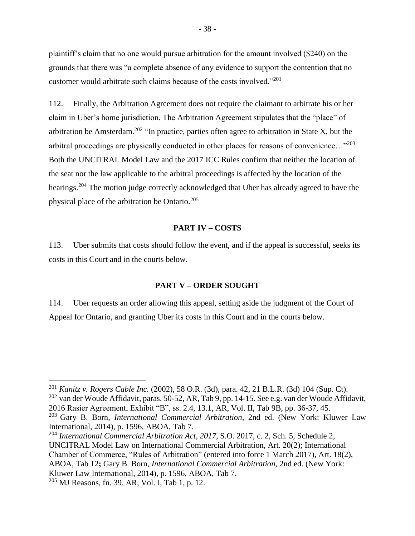plaintiff's claim that no one would pursue arbitration for the amount involved (\$240) on the grounds that there was "a complete absence of any evidence to support the contention that no customer would arbitrate such claims because of the costs involved."<sup>201</sup>

112. Finally, the Arbitration Agreement does not require the claimant to arbitrate his or her claim in Uber's home jurisdiction. The Arbitration Agreement stipulates that the "place" of arbitration be Amsterdam.<sup>202</sup> "In practice, parties often agree to arbitration in State X, but the arbitral proceedings are physically conducted in other places for reasons of convenience…"<sup>203</sup> Both the UNCITRAL Model Law and the 2017 ICC Rules confirm that neither the location of the seat nor the law applicable to the arbitral proceedings is affected by the location of the hearings.<sup>204</sup> The motion judge correctly acknowledged that Uber has already agreed to have the physical place of the arbitration be Ontario.<sup>205</sup>

### **PART IV – COSTS**

<span id="page-40-0"></span>113. Uber submits that costs should follow the event, and if the appeal is successful, seeks its costs in this Court and in the courts below.

#### **PART V – ORDER SOUGHT**

<span id="page-40-1"></span>114. Uber requests an order allowing this appeal, setting aside the judgment of the Court of Appeal for Ontario, and granting Uber its costs in this Court and in the courts below.

<sup>201</sup> *Kanitz v. Rogers Cable Inc.* (2002), 58 O.R. (3d), para. 42, 21 B.L.R. (3d) 104 (Sup. Ct).

<sup>&</sup>lt;sup>202</sup> van der Woude Affidavit, paras. 50-52, AR, Tab 9, pp. 14-15. See e.g. van der Woude Affidavit, 2016 Rasier Agreement, Exhibit "B", ss. 2.4, 13.1, AR, Vol. II, Tab 9B, pp. 36-37, 45.

<sup>203</sup> Gary B. Born, *International Commercial Arbitration*, 2nd ed. (New York: Kluwer Law International, 2014), p. 1596, ABOA, Tab 7.

<sup>204</sup> *International Commercial Arbitration Act*, *2017*, S.O. 2017, c. 2, Sch. 5, Schedule 2, UNCITRAL Model Law on International Commercial Arbitration, Art. 20(2); International Chamber of Commerce, "Rules of Arbitration" (entered into force 1 March 2017), Art. 18(2), ABOA, Tab 12**;** Gary B. Born, *International Commercial Arbitration*, 2nd ed. (New York: Kluwer Law International, 2014), p. 1596, ABOA, Tab 7.

 $205$  MJ Reasons, fn. 39, AR, Vol. I, Tab 1, p. 12.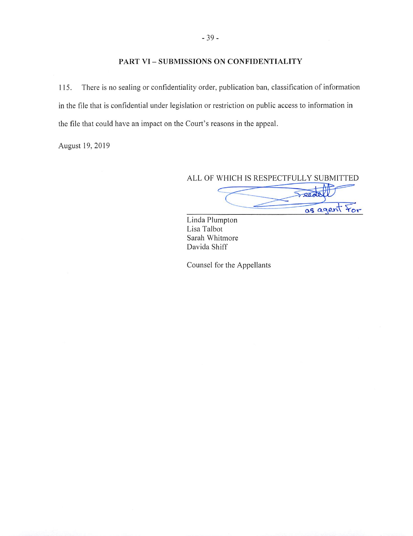### PART VI - SUBMISSIONS ON CONFIDENTIALITY

There is no sealing or confidentiality order, publication ban, classification of information 115. in the file that is confidential under legislation or restriction on public access to information in the file that could have an impact on the Court's reasons in the appeal.

August 19, 2019

ALL OF WHICH IS RESPECTFULLY SUBMITTED

leal as agent *<u><u>Yor</u>*</u>

Linda Plumpton Lisa Talbot Sarah Whitmore Davida Shiff

Counsel for the Appellants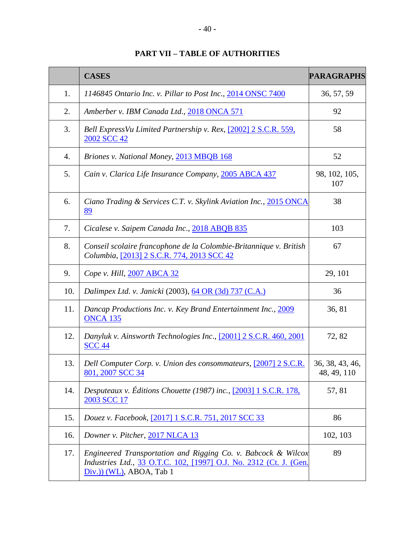<span id="page-42-0"></span>

|     | <b>CASES</b>                                                                                                                                                     | <b>PARAGRAPHS</b>              |
|-----|------------------------------------------------------------------------------------------------------------------------------------------------------------------|--------------------------------|
| 1.  | 1146845 Ontario Inc. v. Pillar to Post Inc., 2014 ONSC 7400                                                                                                      | 36, 57, 59                     |
| 2.  | Amberber v. IBM Canada Ltd., 2018 ONCA 571                                                                                                                       | 92                             |
| 3.  | Bell ExpressVu Limited Partnership v. Rex, [2002] 2 S.C.R. 559,<br>2002 SCC 42                                                                                   | 58                             |
| 4.  | Briones v. National Money, 2013 MBQB 168                                                                                                                         | 52                             |
| 5.  | Cain v. Clarica Life Insurance Company, 2005 ABCA 437                                                                                                            | 98, 102, 105,<br>107           |
| 6.  | Ciano Trading & Services C.T. v. Skylink Aviation Inc., 2015 ONCA<br>89                                                                                          | 38                             |
| 7.  | Cicalese v. Saipem Canada Inc., 2018 ABQB 835                                                                                                                    | 103                            |
| 8.  | Conseil scolaire francophone de la Colombie-Britannique v. British<br>Columbia, <a>[2013]</a> <a>[2013 </a> <a>[2013 </a> SCC <a></a>                            | 67                             |
| 9.  | Cope v. Hill, 2007 ABCA 32                                                                                                                                       | 29, 101                        |
| 10. | Dalimpex Ltd. v. Janicki (2003), 64 OR (3d) 737 (C.A.)                                                                                                           | 36                             |
| 11. | Dancap Productions Inc. v. Key Brand Entertainment Inc., 2009<br><b>ONCA 135</b>                                                                                 | 36, 81                         |
| 12. | Danyluk v. Ainsworth Technologies Inc., [2001] 2 S.C.R. 460, 2001<br><b>SCC 44</b>                                                                               | 72, 82                         |
| 13. | Dell Computer Corp. v. Union des consommateurs, [2007] 2 S.C.R.<br>801, 2007 SCC 34                                                                              | 36, 38, 43, 46,<br>48, 49, 110 |
| 14. | Desputeaux v. Éditions Chouette (1987) inc., $[2003]$ 1 S.C.R. 178,<br>2003 SCC 17                                                                               | 57, 81                         |
| 15. | Douez v. Facebook, [2017] 1 S.C.R. 751, 2017 SCC 33                                                                                                              | 86                             |
| 16. | Downer v. Pitcher, 2017 NLCA 13                                                                                                                                  | 102, 103                       |
| 17. | Engineered Transportation and Rigging Co. v. Babcock & Wilcox<br>Industries Ltd., 33 O.T.C. 102, [1997] O.J. No. 2312 (Ct. J. (Gen.<br>$Div.)$ (WL), ABOA, Tab 1 | 89                             |

## **PART VII – TABLE OF AUTHORITIES**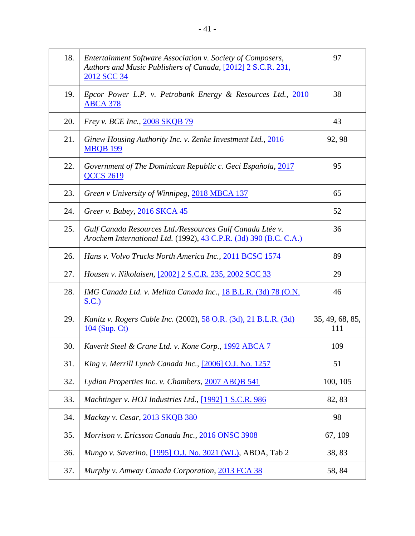| 18. | Entertainment Software Association v. Society of Composers,<br>Authors and Music Publishers of Canada, [2012] 2 S.C.R. 231,<br>2012 SCC 34 | 97                     |
|-----|--------------------------------------------------------------------------------------------------------------------------------------------|------------------------|
| 19. | Epcor Power L.P. v. Petrobank Energy & Resources Ltd., 2010<br><b>ABCA 378</b>                                                             | 38                     |
| 20. | Frey v. BCE Inc., 2008 SKQB 79                                                                                                             | 43                     |
| 21. | Ginew Housing Authority Inc. v. Zenke Investment Ltd., 2016<br><b>MBQB 199</b>                                                             | 92, 98                 |
| 22. | Government of The Dominican Republic c. Geci Española, 2017<br><b>QCCS 2619</b>                                                            | 95                     |
| 23. | Green v University of Winnipeg, 2018 MBCA 137                                                                                              | 65                     |
| 24. | Greer v. Babey, 2016 SKCA 45                                                                                                               | 52                     |
| 25. | Gulf Canada Resources Ltd./Ressources Gulf Canada Ltée v.<br>Arochem International Ltd. (1992), 43 C.P.R. (3d) 390 (B.C. C.A.)             | 36                     |
| 26. | Hans v. Volvo Trucks North America Inc., 2011 BCSC 1574                                                                                    | 89                     |
| 27. | Housen v. Nikolaisen, [2002] 2 S.C.R. 235, 2002 SCC 33                                                                                     | 29                     |
| 28. | IMG Canada Ltd. v. Melitta Canada Inc., 18 B.L.R. (3d) 78 (O.N.<br>S.C.)                                                                   | 46                     |
| 29. | <i>Kanitz v. Rogers Cable Inc.</i> (2002), 58 O.R. (3d), 21 B.L.R. (3d)<br>104 (Sup. Ct)                                                   | 35, 49, 68, 85,<br>111 |
| 30. | Kaverit Steel & Crane Ltd. v. Kone Corp., 1992 ABCA 7                                                                                      | 109                    |
| 31. | King v. Merrill Lynch Canada Inc., [2006] O.J. No. 1257                                                                                    | 51                     |
| 32. | Lydian Properties Inc. v. Chambers, 2007 ABQB 541                                                                                          | 100, 105               |
| 33. | Machtinger v. HOJ Industries Ltd., [1992] 1 S.C.R. 986                                                                                     | 82, 83                 |
| 34. | Mackay v. Cesar, 2013 SKQB 380                                                                                                             | 98                     |
| 35. | Morrison v. Ericsson Canada Inc., 2016 ONSC 3908                                                                                           | 67, 109                |
| 36. | Mungo v. Saverino, <a>[1995]</a> O.J. No. 3021 (WL), ABOA, Tab 2                                                                           | 38,83                  |
| 37. | Murphy v. Amway Canada Corporation, 2013 FCA 38                                                                                            | 58, 84                 |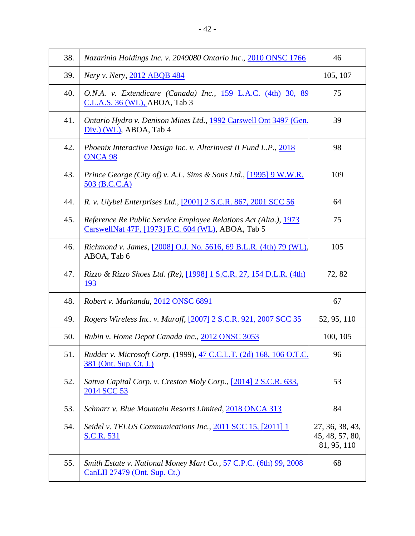| 38. | Nazarinia Holdings Inc. v. 2049080 Ontario Inc., 2010 ONSC 1766                                                        | 46                                                |
|-----|------------------------------------------------------------------------------------------------------------------------|---------------------------------------------------|
| 39. | Nery v. Nery, 2012 ABQB 484                                                                                            | 105, 107                                          |
| 40. | O.N.A. v. Extendicare (Canada) Inc., 159 L.A.C. (4th) 30, 89<br>$C.L.A.S. 36 (W L)$ , ABOA, Tab 3                      | 75                                                |
| 41. | Ontario Hydro v. Denison Mines Ltd., 1992 Carswell Ont 3497 (Gen.<br>Div.) (WL), ABOA, Tab 4                           | 39                                                |
| 42. | Phoenix Interactive Design Inc. v. Alterinvest II Fund L.P., 2018<br>ONCA <sub>98</sub>                                | 98                                                |
| 43. | <i>Prince George (City of) v. A.L. Sims &amp; Sons Ltd.,</i> [1995] 9 W.W.R.<br>503 (B.C.C.A)                          | 109                                               |
| 44. | R. v. Ulybel Enterprises Ltd., [2001] 2 S.C.R. 867, 2001 SCC 56                                                        | 64                                                |
| 45. | Reference Re Public Service Employee Relations Act (Alta.), 1973<br>CarswellNat 47F, [1973] F.C. 604 (WL), ABOA, Tab 5 | 75                                                |
| 46. | <i>Richmond v. James,</i> [2008] O.J. No. 5616, 69 B.L.R. (4th) 79 (WL),<br>ABOA, Tab 6                                | 105                                               |
| 47. | Rizzo & Rizzo Shoes Ltd. (Re), [1998] 1 S.C.R. 27, 154 D.L.R. (4th)<br>193                                             | 72, 82                                            |
| 48. | Robert v. Markandu, 2012 ONSC 6891                                                                                     | 67                                                |
| 49. | Rogers Wireless Inc. v. Muroff, [2007] 2 S.C.R. 921, 2007 SCC 35                                                       | 52, 95, 110                                       |
| 50. | Rubin v. Home Depot Canada Inc., 2012 ONSC 3053                                                                        | 100, 105                                          |
| 51. | Rudder v. Microsoft Corp. (1999), 47 C.C.L.T. (2d) 168, 106 O.T.C.<br>381 (Ont. Sup. Ct. J.)                           | 96                                                |
| 52. | Sattva Capital Corp. v. Creston Moly Corp., [2014] 2 S.C.R. 633,<br>2014 SCC 53                                        | 53                                                |
| 53. | Schnarr v. Blue Mountain Resorts Limited, 2018 ONCA 313                                                                | 84                                                |
| 54. | Seidel v. TELUS Communications Inc., 2011 SCC 15, [2011] 1<br><b>S.C.R. 531</b>                                        | 27, 36, 38, 43,<br>45, 48, 57, 80,<br>81, 95, 110 |
| 55. | Smith Estate v. National Money Mart Co., 57 C.P.C. (6th) 99, 2008<br>CanLII 27479 (Ont. Sup. Ct.)                      | 68                                                |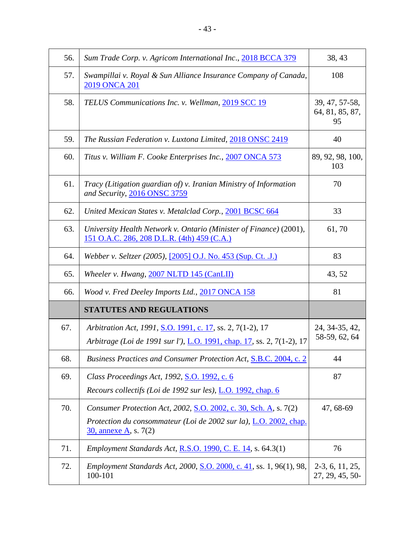| 56. | Sum Trade Corp. v. Agricom International Inc., 2018 BCCA 379                                                                         | 38, 43                                  |
|-----|--------------------------------------------------------------------------------------------------------------------------------------|-----------------------------------------|
| 57. | Swampillai v. Royal & Sun Alliance Insurance Company of Canada,<br>2019 ONCA 201                                                     | 108                                     |
| 58. | TELUS Communications Inc. v. Wellman, 2019 SCC 19                                                                                    | 39, 47, 57-58,<br>64, 81, 85, 87,<br>95 |
| 59. | The Russian Federation v. Luxtona Limited, 2018 ONSC 2419                                                                            | 40                                      |
| 60. | Titus v. William F. Cooke Enterprises Inc., 2007 ONCA 573                                                                            | 89, 92, 98, 100,<br>103                 |
| 61. | Tracy (Litigation guardian of) v. Iranian Ministry of Information<br>and Security, 2016 ONSC 3759                                    | 70                                      |
| 62. | United Mexican States v. Metalclad Corp., 2001 BCSC 664                                                                              | 33                                      |
| 63. | University Health Network v. Ontario (Minister of Finance) (2001),<br>151 O.A.C. 286, 208 D.L.R. (4th) 459 (C.A.)                    | 61,70                                   |
| 64. | Webber v. Seltzer (2005), [2005] O.J. No. 453 (Sup. Ct. J.)                                                                          | 83                                      |
| 65. | Wheeler v. Hwang, 2007 NLTD 145 (CanLII)                                                                                             | 43, 52                                  |
| 66. | Wood v. Fred Deeley Imports Ltd., 2017 ONCA 158                                                                                      | 81                                      |
|     | <b>STATUTES AND REGULATIONS</b>                                                                                                      |                                         |
| 67. | Arbitration Act, 1991, S.O. 1991, c. 17, ss. 2, 7(1-2), 17<br>Arbitrage (Loi de 1991 sur l'), L.O. 1991, chap. 17, ss. 2, 7(1-2), 17 | 24, 34-35, 42,<br>58-59, 62, 64         |
| 68. | Business Practices and Consumer Protection Act, S.B.C. 2004, c. 2                                                                    | 44                                      |
| 69. | Class Proceedings Act, 1992, S.O. 1992, c. 6<br>Recours collectifs (Loi de 1992 sur les), L.O. 1992, chap. 6                         | 87                                      |
| 70. | Consumer Protection Act, 2002, S.O. 2002, c. 30, Sch. A, s. 7(2)                                                                     | 47, 68-69                               |
|     | Protection du consommateur (Loi de 2002 sur la), L.O. 2002, chap.<br>30, annexe A, s. 7(2)                                           |                                         |
| 71. | Employment Standards Act, R.S.O. 1990, C. E. 14, s. 64.3(1)                                                                          | 76                                      |
| 72. | Employment Standards Act, 2000, S.O. 2000, c. 41, ss. 1, 96(1), 98,<br>100-101                                                       | $2-3, 6, 11, 25,$<br>27, 29, 45, 50-    |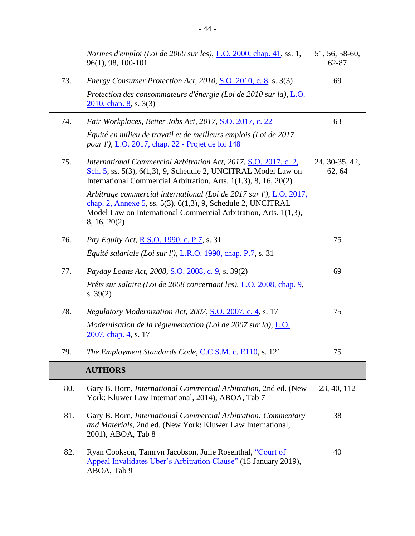|     | Normes d'emploi (Loi de 2000 sur les), L.O. 2000, chap. 41, ss. 1,<br>96(1), 98, 100-101                                                                                                                                      | 51, 56, 58-60,<br>62-87  |
|-----|-------------------------------------------------------------------------------------------------------------------------------------------------------------------------------------------------------------------------------|--------------------------|
| 73. | Energy Consumer Protection Act, 2010, S.O. 2010, c. 8, s. 3(3)                                                                                                                                                                | 69                       |
|     | Protection des consommateurs d'énergie (Loi de 2010 sur la), L.O.<br>$2010$ , chap. 8, s. 3(3)                                                                                                                                |                          |
| 74. | Fair Workplaces, Better Jobs Act, 2017, S.O. 2017, c. 22                                                                                                                                                                      | 63                       |
|     | Équité en milieu de travail et de meilleurs emplois (Loi de 2017<br>pour l'), L.O. 2017, chap. 22 - Projet de loi 148                                                                                                         |                          |
| 75. | International Commercial Arbitration Act, 2017, S.O. 2017, c. 2,<br>Sch. 5, ss. 5(3), 6(1,3), 9, Schedule 2, UNCITRAL Model Law on<br>International Commercial Arbitration, Arts. 1(1,3), 8, 16, 20(2)                        | 24, 30-35, 42,<br>62, 64 |
|     | Arbitrage commercial international (Loi de 2017 sur l'), L.O. 2017,<br>chap. 2, Annexe 5, ss. $5(3)$ , $6(1,3)$ , 9, Schedule 2, UNCITRAL<br>Model Law on International Commercial Arbitration, Arts. 1(1,3),<br>8, 16, 20(2) |                          |
| 76. | <i>Pay Equity Act</i> , <b>R.S.O.</b> 1990, c. <b>P.7</b> , s. 31                                                                                                                                                             | 75                       |
|     | Équité salariale (Loi sur l'), $L.R.O.$ 1990, chap. P.7, s. 31                                                                                                                                                                |                          |
| 77. | Payday Loans Act, 2008, S.O. 2008, c. 9, s. 39(2)                                                                                                                                                                             | 69                       |
|     | Prêts sur salaire (Loi de 2008 concernant les), L.O. 2008, chap. 9,<br>s. $39(2)$                                                                                                                                             |                          |
| 78. | Regulatory Modernization Act, 2007, S.O. 2007, c. 4, s. 17                                                                                                                                                                    | 75                       |
|     | Modernisation de la réglementation (Loi de 2007 sur la), $\underline{L.O.}$<br>2007, chap. 4, s. 17                                                                                                                           |                          |
| 79. | The Employment Standards Code, C.C.S.M. c. E110, s. 121                                                                                                                                                                       | 75                       |
|     | <b>AUTHORS</b>                                                                                                                                                                                                                |                          |
| 80. | Gary B. Born, <i>International Commercial Arbitration</i> , 2nd ed. (New<br>York: Kluwer Law International, 2014), ABOA, Tab 7                                                                                                | 23, 40, 112              |
| 81. | Gary B. Born, International Commercial Arbitration: Commentary<br>and Materials, 2nd ed. (New York: Kluwer Law International,<br>2001), ABOA, Tab 8                                                                           | 38                       |
| 82. | Ryan Cookson, Tamryn Jacobson, Julie Rosenthal, "Court of<br>Appeal Invalidates Uber's Arbitration Clause" (15 January 2019),<br>ABOA, Tab 9                                                                                  | 40                       |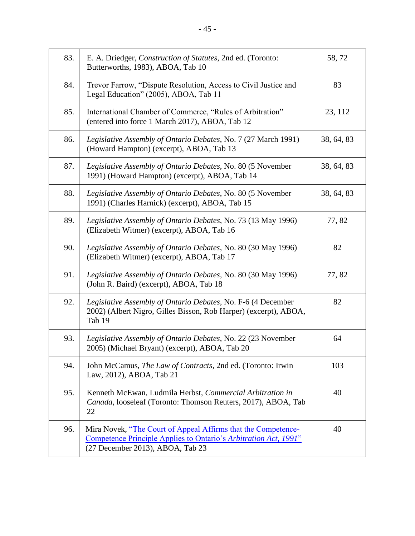| 83. | E. A. Driedger, Construction of Statutes, 2nd ed. (Toronto:<br>Butterworths, 1983), ABOA, Tab 10                                                                      | 58,72      |
|-----|-----------------------------------------------------------------------------------------------------------------------------------------------------------------------|------------|
| 84. | Trevor Farrow, "Dispute Resolution, Access to Civil Justice and<br>Legal Education" (2005), ABOA, Tab 11                                                              | 83         |
| 85. | International Chamber of Commerce, "Rules of Arbitration"<br>(entered into force 1 March 2017), ABOA, Tab 12                                                          | 23, 112    |
| 86. | Legislative Assembly of Ontario Debates, No. 7 (27 March 1991)<br>(Howard Hampton) (excerpt), ABOA, Tab 13                                                            | 38, 64, 83 |
| 87. | Legislative Assembly of Ontario Debates, No. 80 (5 November<br>1991) (Howard Hampton) (excerpt), ABOA, Tab 14                                                         | 38, 64, 83 |
| 88. | Legislative Assembly of Ontario Debates, No. 80 (5 November<br>1991) (Charles Harnick) (excerpt), ABOA, Tab 15                                                        | 38, 64, 83 |
| 89. | Legislative Assembly of Ontario Debates, No. 73 (13 May 1996)<br>(Elizabeth Witmer) (excerpt), ABOA, Tab 16                                                           | 77,82      |
| 90. | Legislative Assembly of Ontario Debates, No. 80 (30 May 1996)<br>(Elizabeth Witmer) (excerpt), ABOA, Tab 17                                                           | 82         |
| 91. | Legislative Assembly of Ontario Debates, No. 80 (30 May 1996)<br>(John R. Baird) (excerpt), ABOA, Tab 18                                                              | 77,82      |
| 92. | Legislative Assembly of Ontario Debates, No. F-6 (4 December<br>2002) (Albert Nigro, Gilles Bisson, Rob Harper) (excerpt), ABOA,<br>Tab 19                            | 82         |
| 93. | Legislative Assembly of Ontario Debates, No. 22 (23 November<br>2005) (Michael Bryant) (excerpt), ABOA, Tab 20                                                        | 64         |
| 94. | John McCamus, The Law of Contracts, 2nd ed. (Toronto: Irwin<br>Law, 2012), ABOA, Tab 21                                                                               | 103        |
| 95. | Kenneth McEwan, Ludmila Herbst, Commercial Arbitration in<br>Canada, looseleaf (Toronto: Thomson Reuters, 2017), ABOA, Tab<br>22                                      | 40         |
| 96. | Mira Novek, "The Court of Appeal Affirms that the Competence-<br>Competence Principle Applies to Ontario's Arbitration Act, 1991"<br>(27 December 2013), ABOA, Tab 23 | 40         |